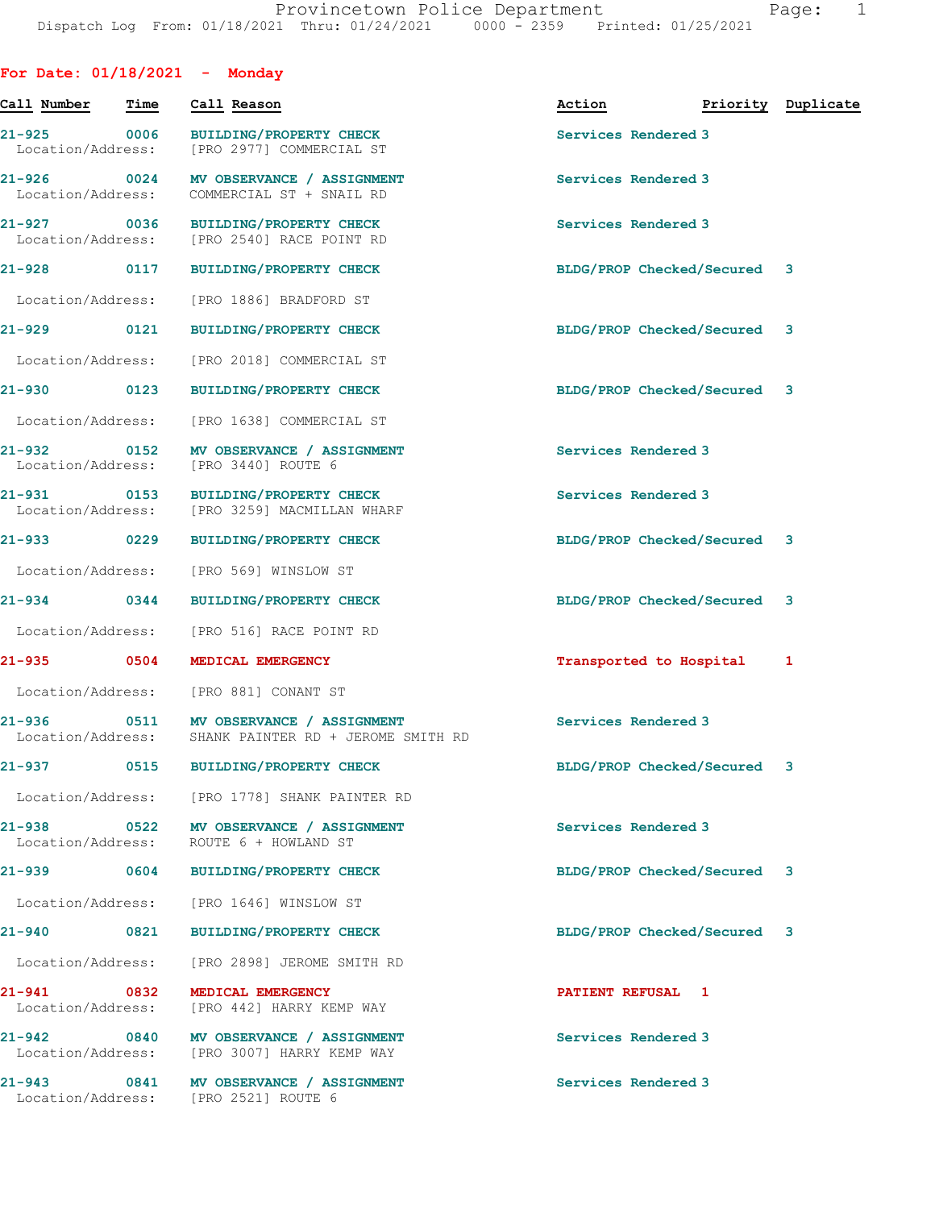| For Date: $01/18/2021$ - Monday  |      |                                                                                         |                     |                             |                    |
|----------------------------------|------|-----------------------------------------------------------------------------------------|---------------------|-----------------------------|--------------------|
| Call Number                      | Time | Call Reason                                                                             | Action              |                             | Priority Duplicate |
| 21-925 0006<br>Location/Address: |      | <b>BUILDING/PROPERTY CHECK</b><br>[PRO 2977] COMMERCIAL ST                              | Services Rendered 3 |                             |                    |
| Location/Address:                |      | 21-926 0024 MV OBSERVANCE / ASSIGNMENT<br>COMMERCIAL ST + SNAIL RD                      | Services Rendered 3 |                             |                    |
| 21-927 0036                      |      | <b>BUILDING/PROPERTY CHECK</b><br>Location/Address: [PRO 2540] RACE POINT RD            | Services Rendered 3 |                             |                    |
| 21-928 0117                      |      | <b>BUILDING/PROPERTY CHECK</b>                                                          |                     | BLDG/PROP Checked/Secured 3 |                    |
| Location/Address:                |      | [PRO 1886] BRADFORD ST                                                                  |                     |                             |                    |
| 21-929 0121                      |      | <b>BUILDING/PROPERTY CHECK</b>                                                          |                     | BLDG/PROP Checked/Secured 3 |                    |
| Location/Address:                |      | [PRO 2018] COMMERCIAL ST                                                                |                     |                             |                    |
| 21-930 0123                      |      | BUILDING/PROPERTY CHECK                                                                 |                     | BLDG/PROP Checked/Secured 3 |                    |
| Location/Address:                |      | [PRO 1638] COMMERCIAL ST                                                                |                     |                             |                    |
| 21-932 0152<br>Location/Address: |      | MV OBSERVANCE / ASSIGNMENT<br>[PRO 3440] ROUTE 6                                        | Services Rendered 3 |                             |                    |
| 21-931 0153<br>Location/Address: |      | <b>BUILDING/PROPERTY CHECK</b><br>[PRO 3259] MACMILLAN WHARF                            | Services Rendered 3 |                             |                    |
|                                  |      | 21-933 0229 BUILDING/PROPERTY CHECK                                                     |                     | BLDG/PROP Checked/Secured 3 |                    |
| Location/Address:                |      | [PRO 569] WINSLOW ST                                                                    |                     |                             |                    |
| $21 - 934$ 0344                  |      | <b>BUILDING/PROPERTY CHECK</b>                                                          |                     | BLDG/PROP Checked/Secured 3 |                    |
|                                  |      | Location/Address: [PRO 516] RACE POINT RD                                               |                     |                             |                    |
|                                  |      | 21-935 0504 MEDICAL EMERGENCY                                                           |                     | Transported to Hospital     | 1                  |
|                                  |      | Location/Address: [PRO 881] CONANT ST                                                   |                     |                             |                    |
| 21-936                           |      | 0511 MV OBSERVANCE / ASSIGNMENT<br>Location/Address: SHANK PAINTER RD + JEROME SMITH RD | Services Rendered 3 |                             |                    |
|                                  |      | 21-937 0515 BUILDING/PROPERTY CHECK                                                     |                     | BLDG/PROP Checked/Secured 3 |                    |
|                                  |      | Location/Address: [PRO 1778] SHANK PAINTER RD                                           |                     |                             |                    |
| Location/Address:                |      | 21-938 0522 MV OBSERVANCE / ASSIGNMENT<br>ROUTE 6 + HOWLAND ST                          | Services Rendered 3 |                             |                    |
|                                  |      | 21-939 0604 BUILDING/PROPERTY CHECK                                                     |                     | BLDG/PROP Checked/Secured 3 |                    |
| Location/Address:                |      | [PRO 1646] WINSLOW ST                                                                   |                     |                             |                    |
| 21-940 0821                      |      | <b>BUILDING/PROPERTY CHECK</b>                                                          |                     | BLDG/PROP Checked/Secured 3 |                    |
| Location/Address:                |      | [PRO 2898] JEROME SMITH RD                                                              |                     |                             |                    |
| 21-941 0832<br>Location/Address: |      | MEDICAL EMERGENCY<br>[PRO 442] HARRY KEMP WAY                                           | PATIENT REFUSAL 1   |                             |                    |
|                                  |      | 21-942 0840 MV OBSERVANCE / ASSIGNMENT<br>Location/Address: [PRO 3007] HARRY KEMP WAY   | Services Rendered 3 |                             |                    |
|                                  |      | 21-943 0841 MV OBSERVANCE / ASSIGNMENT<br>Location/Address: [PRO 2521] ROUTE 6          | Services Rendered 3 |                             |                    |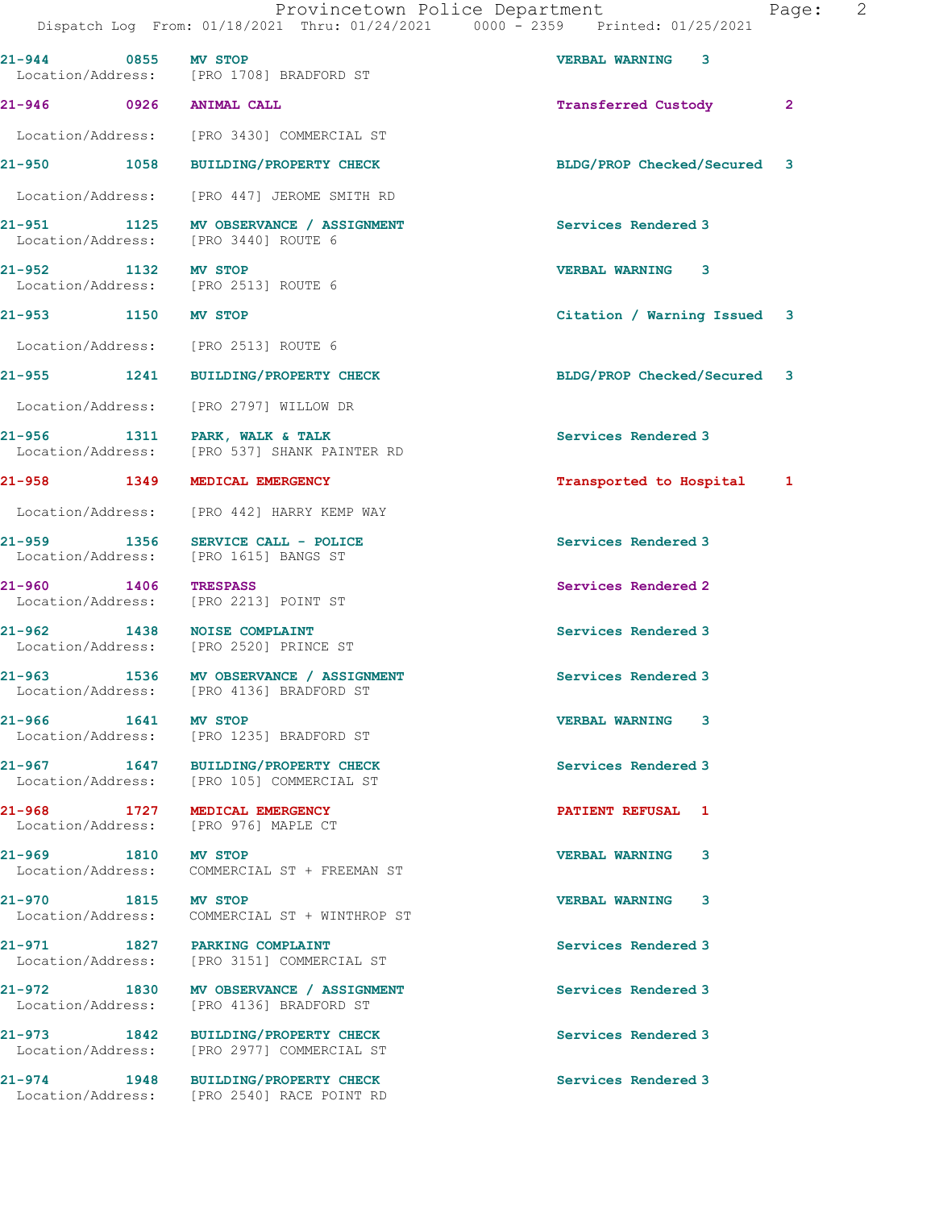Dispatch Log From: 01/18/2021 Thru: 01/24/2021 0000 - 2359 Printed: 01/25/2021 21-944 0855 MV STOP VERBAL WARNING 3 [PRO 1708] BRADFORD ST 21-946 0926 ANIMAL CALL Transferred Custody 2 Location/Address: [PRO 3430] COMMERCIAL ST 21-950 1058 BUILDING/PROPERTY CHECK BLDG/PROP Checked/Secured 3 Location/Address: [PRO 447] JEROME SMITH RD 21-951 1125 MV OBSERVANCE / ASSIGNMENT Services Rendered 3 Location/Address: [PRO 3440] ROUTE 6 21-952 1132 MV STOP 10 (2012)<br>
21-952 1132 MV STOP 120 120 VERBAL WARNING 3 [PRO 2513] ROUTE 6 21-953 1150 MV STOP Citation / Warning Issued 3 Location/Address: [PRO 2513] ROUTE 6 21-955 1241 BUILDING/PROPERTY CHECK BLDG/PROP Checked/Secured 3 Location/Address: [PRO 2797] WILLOW DR 21-956 1311 PARK, WALK & TALK<br>
Location/Address: [PRO 537] SHANK PAINTER RD<br>
Services Rendered 3 [PRO 537] SHANK PAINTER RD 21-958 1349 MEDICAL EMERGENCY **120 CONTRACT 1** 1 Transported to Hospital 1 Location/Address: [PRO 442] HARRY KEMP WAY 21-959 1356 SERVICE CALL - POLICE Services Rendered 3 Location/Address: [PRO 1615] BANGS ST 21-960 1406 TRESPASS Services Rendered 2 Location/Address: [PRO 2213] POINT ST 21-962 1438 NOISE COMPLAINT Services Rendered 3 Location/Address: [PRO 2520] PRINCE ST 21-963 1536 MV OBSERVANCE / ASSIGNMENT Services Rendered 3 Location/Address: [PRO 4136] BRADFORD ST 21-966 1641 MV STOP VERBAL WARNING 3 Location/Address: [PRO 1235] BRADFORD ST 21-967 1647 BUILDING/PROPERTY CHECK Services Rendered 3 Location/Address: [PRO 105] COMMERCIAL ST 21-968 1727 MEDICAL EMERGENCY PATIENT REFUSAL 1 Location/Address: 21-969 1810 MV STOP<br>
Location/Address: COMMERCIAL ST + FREEMAN ST Location/Address: COMMERCIAL ST + FREEMAN ST 21-970 1815 MV STOP VERBAL WARNING 3 Location/Address: COMMERCIAL ST + WINTHROP ST 21-971 1827 PARKING COMPLAINT Services Rendered 3 Location/Address: [PRO 3151] COMMERCIAL ST 21-972 1830 MV OBSERVANCE / ASSIGNMENT Services Rendered 3 Location/Address: [PRO 4136] BRADFORD ST 21-973 1842 BUILDING/PROPERTY CHECK Services Rendered 3 Location/Address: [PRO 2977] COMMERCIAL ST 21-974 1948 BUILDING/PROPERTY CHECK Services Rendered 3 Location/Address: [PRO 2540] RACE POINT RD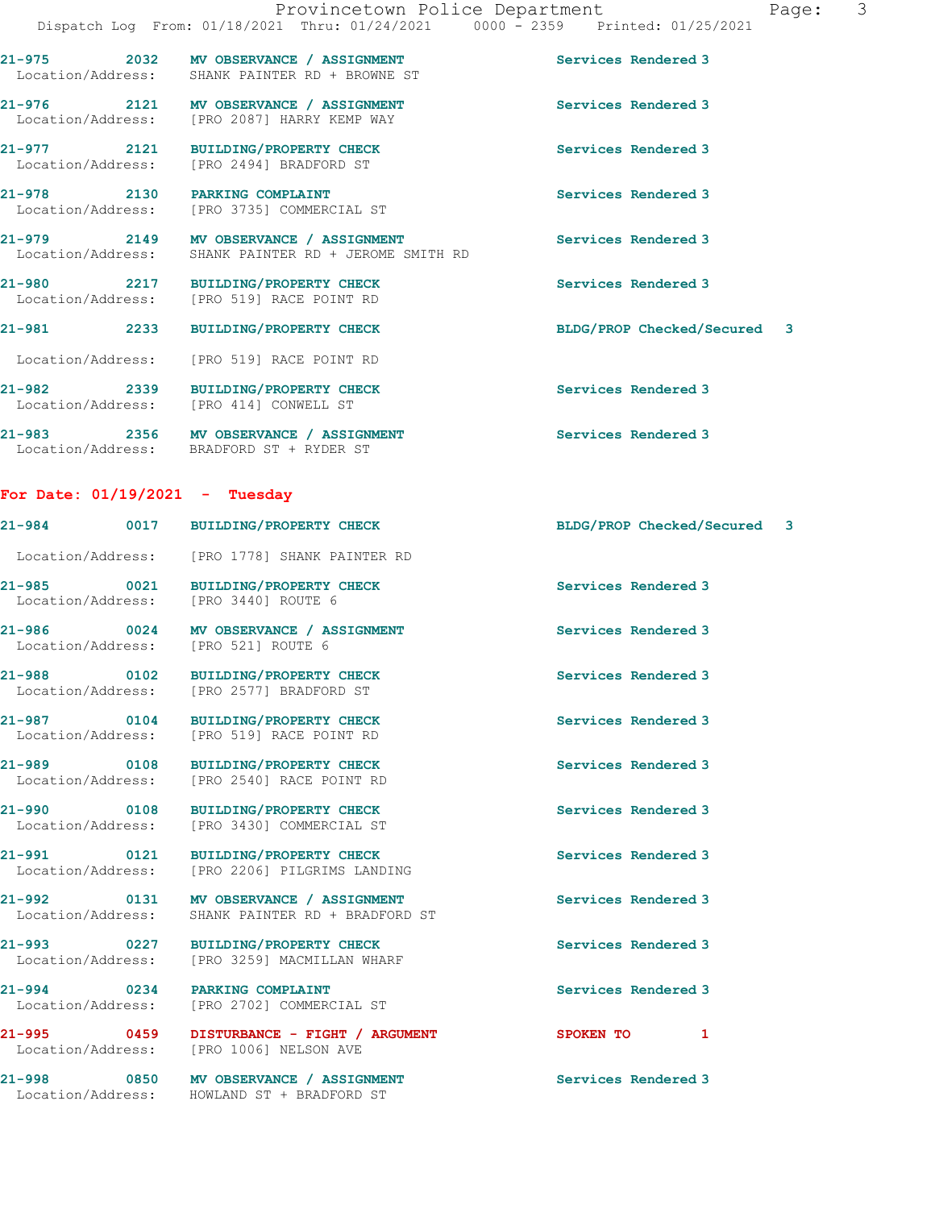|                                        | 21-975 2032 MV OBSERVANCE / ASSIGNMENT<br>Location/Address: SHANK PAINTER RD + BROWNE ST       | Services Rendered 3                                                                                             |
|----------------------------------------|------------------------------------------------------------------------------------------------|-----------------------------------------------------------------------------------------------------------------|
|                                        | 21-976 2121 MV OBSERVANCE / ASSIGNMENT<br>Location/Address: [PRO 2087] HARRY KEMP WAY          | Services Rendered 3                                                                                             |
|                                        | 21-977 2121 BUILDING/PROPERTY CHECK<br>Location/Address: [PRO 2494] BRADFORD ST                | Services Rendered 3                                                                                             |
| 21-978 2130                            | PARKING COMPLAINT<br>Location/Address: [PRO 3735] COMMERCIAL ST                                | Services Rendered 3                                                                                             |
|                                        | 21-979 2149 MV OBSERVANCE / ASSIGNMENT<br>Location/Address: SHANK PAINTER RD + JEROME SMITH RD | Services Rendered 3                                                                                             |
|                                        | 21-980 2217 BUILDING/PROPERTY CHECK<br>Location/Address: [PRO 519] RACE POINT RD               | Services Rendered 3                                                                                             |
|                                        | 21-981 2233 BUILDING/PROPERTY CHECK                                                            | BLDG/PROP Checked/Secured 3                                                                                     |
|                                        | Location/Address: [PRO 519] RACE POINT RD                                                      |                                                                                                                 |
| Location/Address: [PRO 414] CONWELL ST | 21-982 2339 BUILDING/PROPERTY CHECK                                                            | Services Rendered 3                                                                                             |
|                                        | $\alpha$ $\alpha$                                                                              | the contract of the contract of the contract of the contract of the contract of the contract of the contract of |

21-983 2356 MV OBSERVANCE / ASSIGNMENT Services Rendered 3 Location/Address: BRADFORD ST + RYDER ST

## For Date: 01/19/2021 - Tuesday

|                                  | 21-984 0017 BUILDING/PROPERTY CHECK                                                   | BLDG/PROP Checked/Secured 3 |  |
|----------------------------------|---------------------------------------------------------------------------------------|-----------------------------|--|
|                                  | Location/Address: [PRO 1778] SHANK PAINTER RD                                         |                             |  |
| 21-985 0021<br>Location/Address: | BUILDING/PROPERTY CHECK<br>[PRO 3440] ROUTE 6                                         | Services Rendered 3         |  |
| Location/Address:                | 21-986 0024 MV OBSERVANCE / ASSIGNMENT<br>[PRO 521] ROUTE 6                           | Services Rendered 3         |  |
| 21-988 0102                      | BUILDING/PROPERTY CHECK<br>Location/Address: [PRO 2577] BRADFORD ST                   | Services Rendered 3         |  |
|                                  | 21-987 0104 BUILDING/PROPERTY CHECK<br>Location/Address: [PRO 519] RACE POINT RD      | Services Rendered 3         |  |
|                                  | 21-989 0108 BUILDING/PROPERTY CHECK<br>Location/Address: [PRO 2540] RACE POINT RD     | Services Rendered 3         |  |
|                                  | 21-990 0108 BUILDING/PROPERTY CHECK<br>Location/Address: [PRO 3430] COMMERCIAL ST     | Services Rendered 3         |  |
|                                  | 21-991 0121 BUILDING/PROPERTY CHECK<br>Location/Address: [PRO 2206] PILGRIMS LANDING  | Services Rendered 3         |  |
| Location/Address:                | 21-992 0131 MV OBSERVANCE / ASSIGNMENT<br>SHANK PAINTER RD + BRADFORD ST              | Services Rendered 3         |  |
| Location/Address:                | 21-993 0227 BUILDING/PROPERTY CHECK<br>[PRO 3259] MACMILLAN WHARF                     | Services Rendered 3         |  |
| 21-994 0234 PARKING COMPLAINT    | Location/Address: [PRO 2702] COMMERCIAL ST                                            | Services Rendered 3         |  |
|                                  | 21-995 0459 DISTURBANCE - FIGHT / ARGUMENT<br>Location/Address: [PRO 1006] NELSON AVE | SPOKEN TO<br>1              |  |
| Location/Address:                | 21-998 0850 MV OBSERVANCE / ASSIGNMENT<br>HOWLAND ST + BRADFORD ST                    | Services Rendered 3         |  |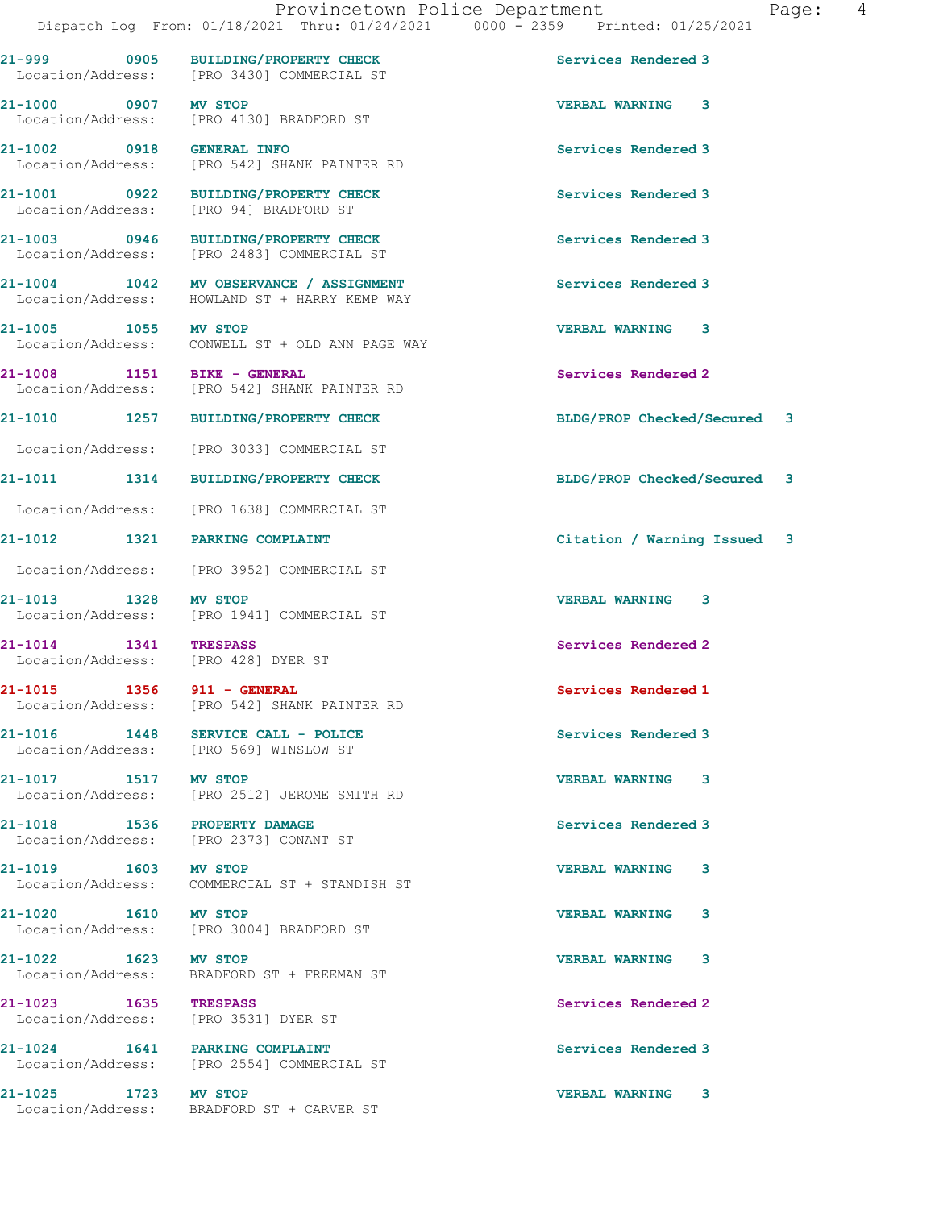21-1003 0946 BUILDING/PROPERTY CHECK Services Rendered 3

Location/Address: [PRO 2373] CONANT ST

21-1023 1635 TRESPASS Services Rendered 2 Location/Address: [PRO 3531] DYER ST

21-999 0905 BUILDING/PROPERTY CHECK Services Rendered 3 Location/Address: [PRO 3430] COMMERCIAL ST

21-1000 0907 MV STOP VERBAL WARNING 3 Location/Address: [PRO 4130] BRADFORD ST

21-1002 0918 GENERAL INFO Services Rendered 3 Location/Address: [PRO 542] SHANK PAINTER RD

21-1001 0922 BUILDING/PROPERTY CHECK Services Rendered 3 Location/Address: [PRO 94] BRADFORD ST

Location/Address: [PRO 2483] COMMERCIAL ST

21-1004 1042 MV OBSERVANCE / ASSIGNMENT Services Rendered 3 Location/Address: HOWLAND ST + HARRY KEMP WAY

21-1005 1055 MV STOP 20 21-1005 VERBAL WARNING 3 Location/Address: CONWELL ST + OLD ANN PAGE WAY

21-1008 1151 BIKE - GENERAL Services Rendered 2 Location/Address: [PRO 542] SHANK PAINTER RD

Location/Address: [PRO 3033] COMMERCIAL ST

Location/Address: [PRO 1638] COMMERCIAL ST

Location/Address: [PRO 3952] COMMERCIAL ST

21-1013 1328 MV STOP VERBAL WARNING 3 Location/Address: [PRO 1941] COMMERCIAL ST

Location/Address: [PRO 428] DYER ST

21-1015 1356 911 - GENERAL Services Rendered 1 Location/Address: [PRO 542] SHANK PAINTER RD

21-1016 1448 SERVICE CALL - POLICE Services Rendered 3 Location/Address: [PRO 569] WINSLOW ST

21-1017 1517 MV STOP 1518 1517 21-1017 1517 1518 Location/Address: [PRO 2512] JEROME SMITH RD

21-1018 1536 PROPERTY DAMAGE **Services Rendered 3** 

21-1019 1603 MV STOP VERBAL WARNING 3 Location/Address: COMMERCIAL ST + STANDISH ST

21-1020 1610 MV STOP 20 21-1020 VERBAL WARNING 3 Location/Address: [PRO 3004] BRADFORD ST

21-1022 1623 MV STOP VERBAL WARNING 3 Location/Address: BRADFORD ST + FREEMAN ST

21-1024 1641 PARKING COMPLAINT (21-1024 1641 1641 PARKING COMPLAINT) Services Rendered 3 [PRO 2554] COMMERCIAL ST

21-1025 1723 MV STOP VERBAL WARNING 3 Location/Address: BRADFORD ST + CARVER ST

21-1010 1257 BUILDING/PROPERTY CHECK BLDG/PROP Checked/Secured 3

21-1011 1314 BUILDING/PROPERTY CHECK BLDG/PROP Checked/Secured 3

21-1012 1321 PARKING COMPLAINT Citation / Warning Issued 3

21-1014 1341 TRESPASS Services Rendered 2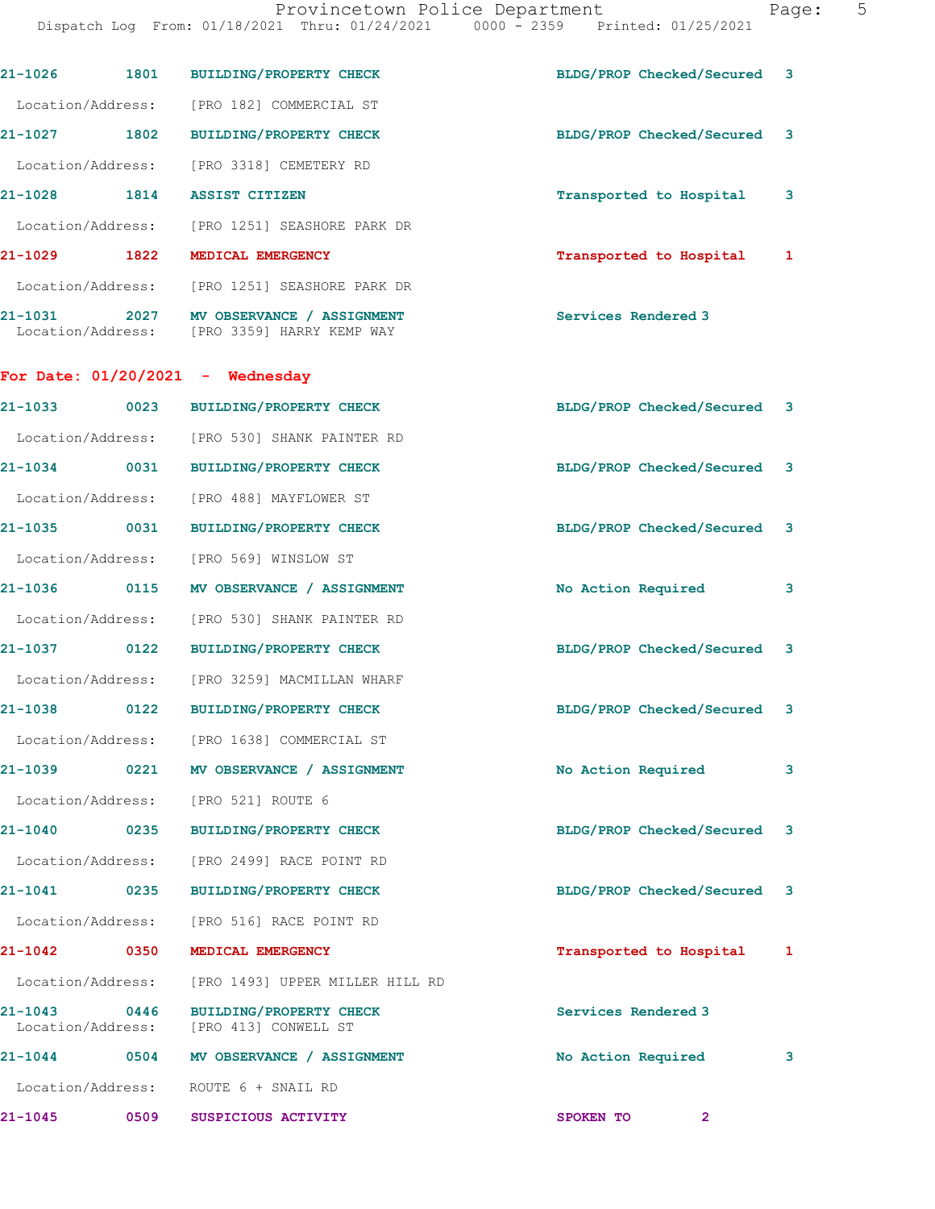Dispatch Log From: 01/18/2021 Thru: 01/24/2021 0000 - 2359 Printed: 01/25/2021

|                                  |      | 21-1026 1801 BUILDING/PROPERTY CHECK                                                   | BLDG/PROP Checked/Secured 3 |   |
|----------------------------------|------|----------------------------------------------------------------------------------------|-----------------------------|---|
|                                  |      | Location/Address: [PRO 182] COMMERCIAL ST                                              |                             |   |
| 21-1027 1802                     |      | BUILDING/PROPERTY CHECK                                                                | BLDG/PROP Checked/Secured 3 |   |
|                                  |      | Location/Address: [PRO 3318] CEMETERY RD                                               |                             |   |
|                                  |      | 21-1028 1814 ASSIST CITIZEN                                                            | Transported to Hospital 3   |   |
|                                  |      | Location/Address: [PRO 1251] SEASHORE PARK DR                                          |                             |   |
|                                  |      | 21-1029 1822 MEDICAL EMERGENCY                                                         | Transported to Hospital 1   |   |
|                                  |      | Location/Address: [PRO 1251] SEASHORE PARK DR                                          |                             |   |
|                                  |      | 21-1031 2027 MV OBSERVANCE / ASSIGNMENT<br>Location/Address: [PRO 3359] HARRY KEMP WAY | Services Rendered 3         |   |
|                                  |      | For Date: $01/20/2021$ - Wednesday                                                     |                             |   |
|                                  |      | 21-1033 0023 BUILDING/PROPERTY CHECK                                                   | BLDG/PROP Checked/Secured 3 |   |
|                                  |      | Location/Address: [PRO 530] SHANK PAINTER RD                                           |                             |   |
|                                  |      | 21-1034 0031 BUILDING/PROPERTY CHECK                                                   | BLDG/PROP Checked/Secured 3 |   |
|                                  |      | Location/Address: [PRO 488] MAYFLOWER ST                                               |                             |   |
| 21-1035 0031                     |      | <b>BUILDING/PROPERTY CHECK</b>                                                         | BLDG/PROP Checked/Secured 3 |   |
|                                  |      | Location/Address: [PRO 569] WINSLOW ST                                                 |                             |   |
|                                  |      | 21-1036 0115 MV OBSERVANCE / ASSIGNMENT                                                | No Action Required          | 3 |
|                                  |      | Location/Address: [PRO 530] SHANK PAINTER RD                                           |                             |   |
| 21-1037 0122                     |      | BUILDING/PROPERTY CHECK                                                                | BLDG/PROP Checked/Secured 3 |   |
|                                  |      | Location/Address: [PRO 3259] MACMILLAN WHARF                                           |                             |   |
|                                  |      | 21-1038 0122 BUILDING/PROPERTY CHECK                                                   | BLDG/PROP Checked/Secured 3 |   |
|                                  |      | Location/Address: [PRO 1638] COMMERCIAL ST                                             |                             |   |
| 21-1039                          |      | 0221 MV OBSERVANCE / ASSIGNMENT                                                        | No Action Required          | 3 |
|                                  |      | Location/Address: [PRO 521] ROUTE 6                                                    |                             |   |
| $21 - 1040$                      | 0235 | BUILDING/PROPERTY CHECK                                                                | BLDG/PROP Checked/Secured 3 |   |
| Location/Address:                |      | [PRO 2499] RACE POINT RD                                                               |                             |   |
| 21-1041 0235                     |      | <b>BUILDING/PROPERTY CHECK</b>                                                         | BLDG/PROP Checked/Secured 3 |   |
|                                  |      | Location/Address: [PRO 516] RACE POINT RD                                              |                             |   |
| 21-1042 0350                     |      | MEDICAL EMERGENCY                                                                      | Transported to Hospital 1   |   |
| Location/Address:                |      | [PRO 1493] UPPER MILLER HILL RD                                                        |                             |   |
| $21 - 1043$<br>Location/Address: | 0446 | <b>BUILDING/PROPERTY CHECK</b><br>[PRO 413] CONWELL ST                                 | Services Rendered 3         |   |
| $21 - 1044$                      | 0504 | MV OBSERVANCE / ASSIGNMENT                                                             | No Action Required          | 3 |
|                                  |      | Location/Address: ROUTE 6 + SNAIL RD                                                   |                             |   |
| $21 - 1045$                      | 0509 | SUSPICIOUS ACTIVITY                                                                    | SPOKEN TO<br>$\mathbf{2}$   |   |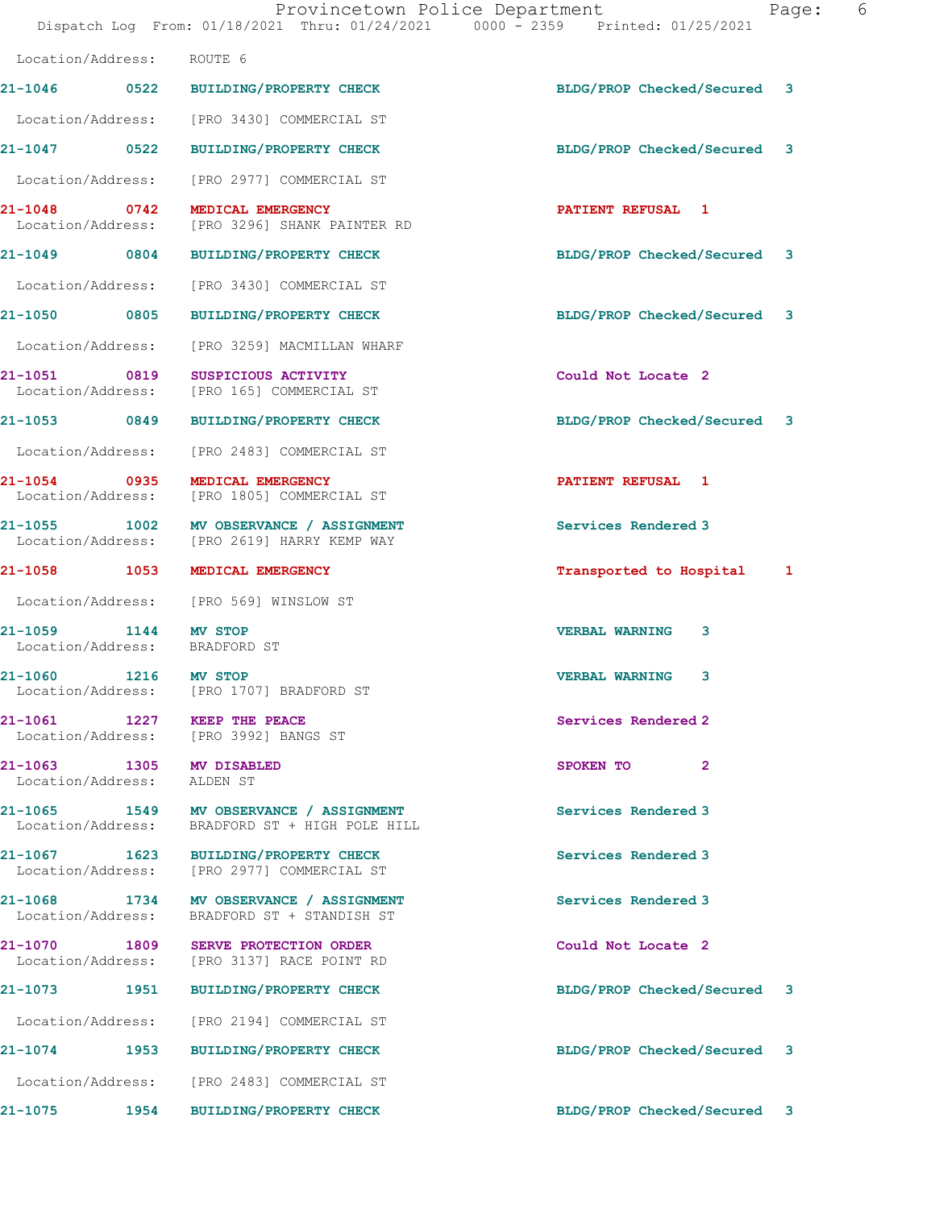Dispatch Log From: 01/18/2021 Thru: 01/24/2021 0000 - 2359 Printed: 01/25/2021

| Location/Address: ROUTE 6                                                                 |                             |                                                                                                                                                                                                                                                                                   |
|-------------------------------------------------------------------------------------------|-----------------------------|-----------------------------------------------------------------------------------------------------------------------------------------------------------------------------------------------------------------------------------------------------------------------------------|
| 21-1046 0522 BUILDING/PROPERTY CHECK                                                      |                             |                                                                                                                                                                                                                                                                                   |
| Location/Address: [PRO 3430] COMMERCIAL ST                                                |                             |                                                                                                                                                                                                                                                                                   |
| 21-1047 0522 BUILDING/PROPERTY CHECK                                                      |                             |                                                                                                                                                                                                                                                                                   |
| Location/Address: [PRO 2977] COMMERCIAL ST                                                |                             |                                                                                                                                                                                                                                                                                   |
| 21-1048 0742<br>MEDICAL EMERGENCY<br>Location/Address: [PRO 3296] SHANK PAINTER RD        | <b>PATIENT REFUSAL 1</b>    |                                                                                                                                                                                                                                                                                   |
| 21-1049 0804 BUILDING/PROPERTY CHECK                                                      |                             |                                                                                                                                                                                                                                                                                   |
| Location/Address: [PRO 3430] COMMERCIAL ST                                                |                             |                                                                                                                                                                                                                                                                                   |
| 21-1050 0805 BUILDING/PROPERTY CHECK                                                      |                             |                                                                                                                                                                                                                                                                                   |
| Location/Address: [PRO 3259] MACMILLAN WHARF                                              |                             |                                                                                                                                                                                                                                                                                   |
| 21-1051 0819 SUSPICIOUS ACTIVITY<br>Location/Address: [PRO 165] COMMERCIAL ST             | Could Not Locate 2          |                                                                                                                                                                                                                                                                                   |
| 21-1053 0849 BUILDING/PROPERTY CHECK                                                      |                             |                                                                                                                                                                                                                                                                                   |
| Location/Address: [PRO 2483] COMMERCIAL ST                                                |                             |                                                                                                                                                                                                                                                                                   |
| 21-1054 0935 MEDICAL EMERGENCY<br>Location/Address: [PRO 1805] COMMERCIAL ST              | <b>PATIENT REFUSAL 1</b>    |                                                                                                                                                                                                                                                                                   |
| 21-1055 1002 MV OBSERVANCE / ASSIGNMENT<br>Location/Address: [PRO 2619] HARRY KEMP WAY    | Services Rendered 3         |                                                                                                                                                                                                                                                                                   |
| 21-1058 1053 MEDICAL EMERGENCY                                                            |                             |                                                                                                                                                                                                                                                                                   |
| Location/Address: [PRO 569] WINSLOW ST                                                    |                             |                                                                                                                                                                                                                                                                                   |
| 21-1059 1144 MV STOP<br>Location/Address: BRADFORD ST                                     | 3<br><b>VERBAL WARNING</b>  |                                                                                                                                                                                                                                                                                   |
| 21-1060 1216 MV STOP<br>Location/Address: [PRO 1707] BRADFORD ST                          | <b>VERBAL WARNING</b><br>3  |                                                                                                                                                                                                                                                                                   |
| 21-1061 1227 KEEP THE PEACE<br>Location/Address: [PRO 3992] BANGS ST                      | Services Rendered 2         |                                                                                                                                                                                                                                                                                   |
| 21-1063 1305 MV DISABLED<br>Location/Address: ALDEN ST                                    | $\overline{2}$<br>SPOKEN TO |                                                                                                                                                                                                                                                                                   |
| 21-1065 1549 MV OBSERVANCE / ASSIGNMENT<br>Location/Address: BRADFORD ST + HIGH POLE HILL | Services Rendered 3         |                                                                                                                                                                                                                                                                                   |
| 21-1067 1623 BUILDING/PROPERTY CHECK<br>Location/Address: [PRO 2977] COMMERCIAL ST        | Services Rendered 3         |                                                                                                                                                                                                                                                                                   |
| 21-1068 1734 MV OBSERVANCE / ASSIGNMENT<br>Location/Address: BRADFORD ST + STANDISH ST    | Services Rendered 3         |                                                                                                                                                                                                                                                                                   |
| 21-1070 1809 SERVE PROTECTION ORDER<br>Location/Address: [PRO 3137] RACE POINT RD         | Could Not Locate 2          |                                                                                                                                                                                                                                                                                   |
| 21-1073 1951 BUILDING/PROPERTY CHECK                                                      |                             |                                                                                                                                                                                                                                                                                   |
| Location/Address: [PRO 2194] COMMERCIAL ST                                                |                             |                                                                                                                                                                                                                                                                                   |
| 21-1074 1953 BUILDING/PROPERTY CHECK                                                      |                             |                                                                                                                                                                                                                                                                                   |
| Location/Address: [PRO 2483] COMMERCIAL ST                                                |                             |                                                                                                                                                                                                                                                                                   |
| 21-1075 1954<br><b>BUILDING/PROPERTY CHECK</b>                                            |                             |                                                                                                                                                                                                                                                                                   |
|                                                                                           |                             | BLDG/PROP Checked/Secured 3<br>BLDG/PROP Checked/Secured 3<br>BLDG/PROP Checked/Secured 3<br>BLDG/PROP Checked/Secured 3<br>BLDG/PROP Checked/Secured 3<br>Transported to Hospital 1<br>BLDG/PROP Checked/Secured 3<br>BLDG/PROP Checked/Secured 3<br>BLDG/PROP Checked/Secured 3 |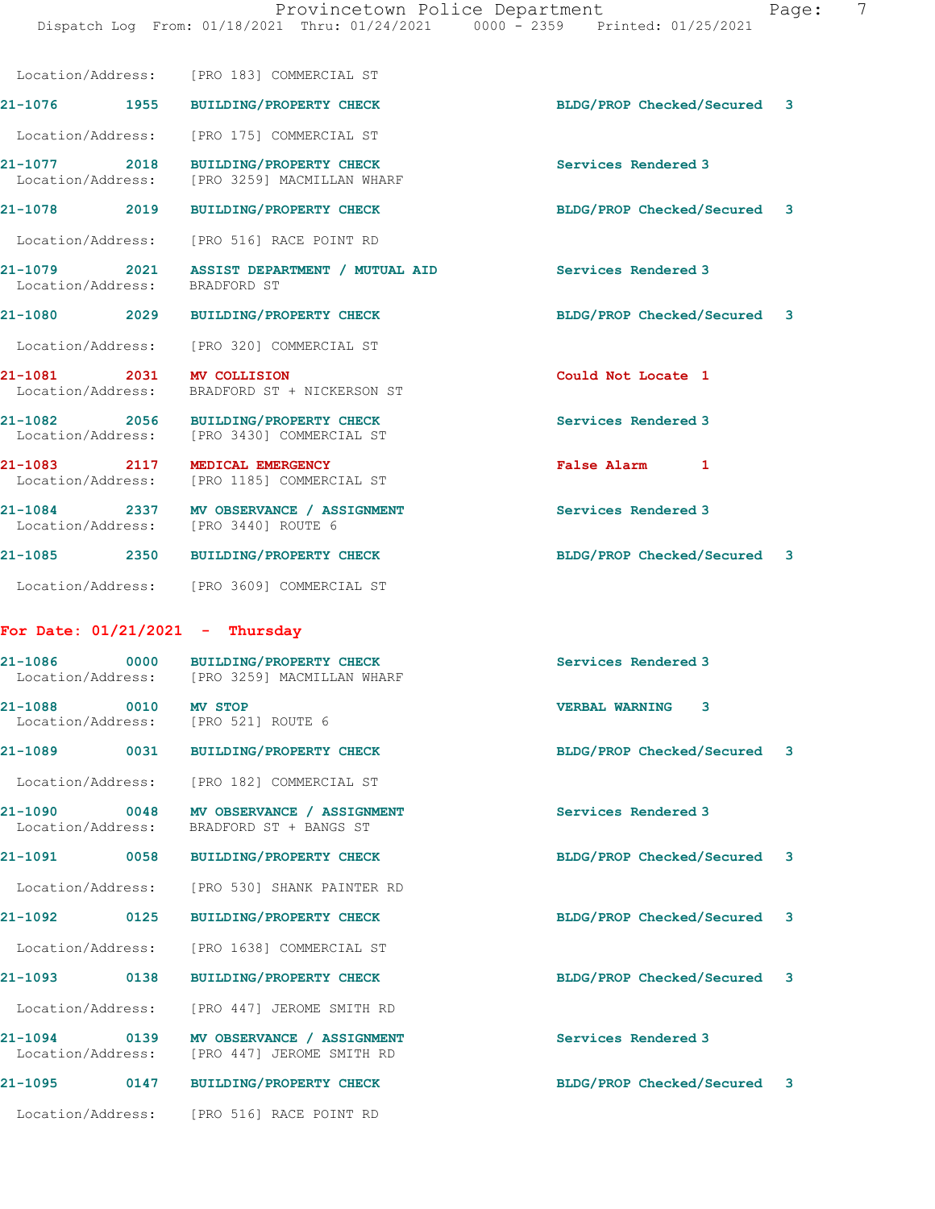|       | raqe: |
|-------|-------|
| 12021 |       |

|                                   |      | Location/Address: [PRO 183] COMMERCIAL ST                                            |                             |              |
|-----------------------------------|------|--------------------------------------------------------------------------------------|-----------------------------|--------------|
|                                   |      | 21-1076 1955 BUILDING/PROPERTY CHECK                                                 | BLDG/PROP Checked/Secured 3 |              |
|                                   |      | Location/Address: [PRO 175] COMMERCIAL ST                                            |                             |              |
|                                   |      | 21-1077 2018 BUILDING/PROPERTY CHECK<br>Location/Address: [PRO 3259] MACMILLAN WHARF | Services Rendered 3         |              |
|                                   |      | 21-1078 2019 BUILDING/PROPERTY CHECK                                                 | BLDG/PROP Checked/Secured 3 |              |
|                                   |      | Location/Address: [PRO 516] RACE POINT RD                                            |                             |              |
| Location/Address: BRADFORD ST     |      | 21-1079 2021 ASSIST DEPARTMENT / MUTUAL AID                                          | Services Rendered 3         |              |
|                                   |      | 21-1080 2029 BUILDING/PROPERTY CHECK                                                 | BLDG/PROP Checked/Secured 3 |              |
|                                   |      | Location/Address: [PRO 320] COMMERCIAL ST                                            |                             |              |
| 21-1081 2031 MV COLLISION         |      | Location/Address: BRADFORD ST + NICKERSON ST                                         | Could Not Locate 1          |              |
|                                   |      | 21-1082 2056 BUILDING/PROPERTY CHECK<br>Location/Address: [PRO 3430] COMMERCIAL ST   | Services Rendered 3         |              |
|                                   |      | 21-1083 2117 MEDICAL EMERGENCY<br>Location/Address: [PRO 1185] COMMERCIAL ST         | False Alarm 1               |              |
|                                   |      | 21-1084 2337 MV OBSERVANCE / ASSIGNMENT<br>Location/Address: [PRO 3440] ROUTE 6      | Services Rendered 3         |              |
|                                   |      | 21-1085 2350 BUILDING/PROPERTY CHECK                                                 | BLDG/PROP Checked/Secured 3 |              |
|                                   |      | Location/Address: [PRO 3609] COMMERCIAL ST                                           |                             |              |
| For Date: $01/21/2021$ - Thursday |      |                                                                                      |                             |              |
|                                   |      | 21-1086 0000 BUILDING/PROPERTY CHECK<br>Location/Address: [PRO 3259] MACMILLAN WHARF | Services Rendered 3         |              |
| 21-1088 0010 MV STOP              |      | Location/Address: [PRO 521] ROUTE 6                                                  | <b>VERBAL WARNING 3</b>     |              |
| 21-1089<br>0031                   |      | <b>BUILDING/PROPERTY CHECK</b>                                                       | BLDG/PROP Checked/Secured 3 |              |
|                                   |      | Location/Address: [PRO 182] COMMERCIAL ST                                            |                             |              |
|                                   |      | 21-1090 0048 MV OBSERVANCE / ASSIGNMENT<br>Location/Address: BRADFORD ST + BANGS ST  | Services Rendered 3         |              |
| 21-1091                           |      | 0058 BUILDING/PROPERTY CHECK                                                         | BLDG/PROP Checked/Secured 3 |              |
|                                   |      | Location/Address: [PRO 530] SHANK PAINTER RD                                         |                             |              |
| 21-1092                           | 0125 | <b>BUILDING/PROPERTY CHECK</b>                                                       | BLDG/PROP Checked/Secured   | $\mathbf{3}$ |
|                                   |      | Location/Address: [PRO 1638] COMMERCIAL ST                                           |                             |              |
|                                   |      | 21-1093 0138 BUILDING/PROPERTY CHECK                                                 | BLDG/PROP Checked/Secured 3 |              |
|                                   |      | Location/Address: [PRO 447] JEROME SMITH RD                                          |                             |              |
|                                   |      |                                                                                      |                             |              |

21-1094 0139 MV OBSERVANCE / ASSIGNMENT Services Rendered 3 Location/Address: [PRO 447] JEROME SMITH RD

21-1095 0147 BUILDING/PROPERTY CHECK BLDG/PROP Checked/Secured 3

Location/Address: [PRO 516] RACE POINT RD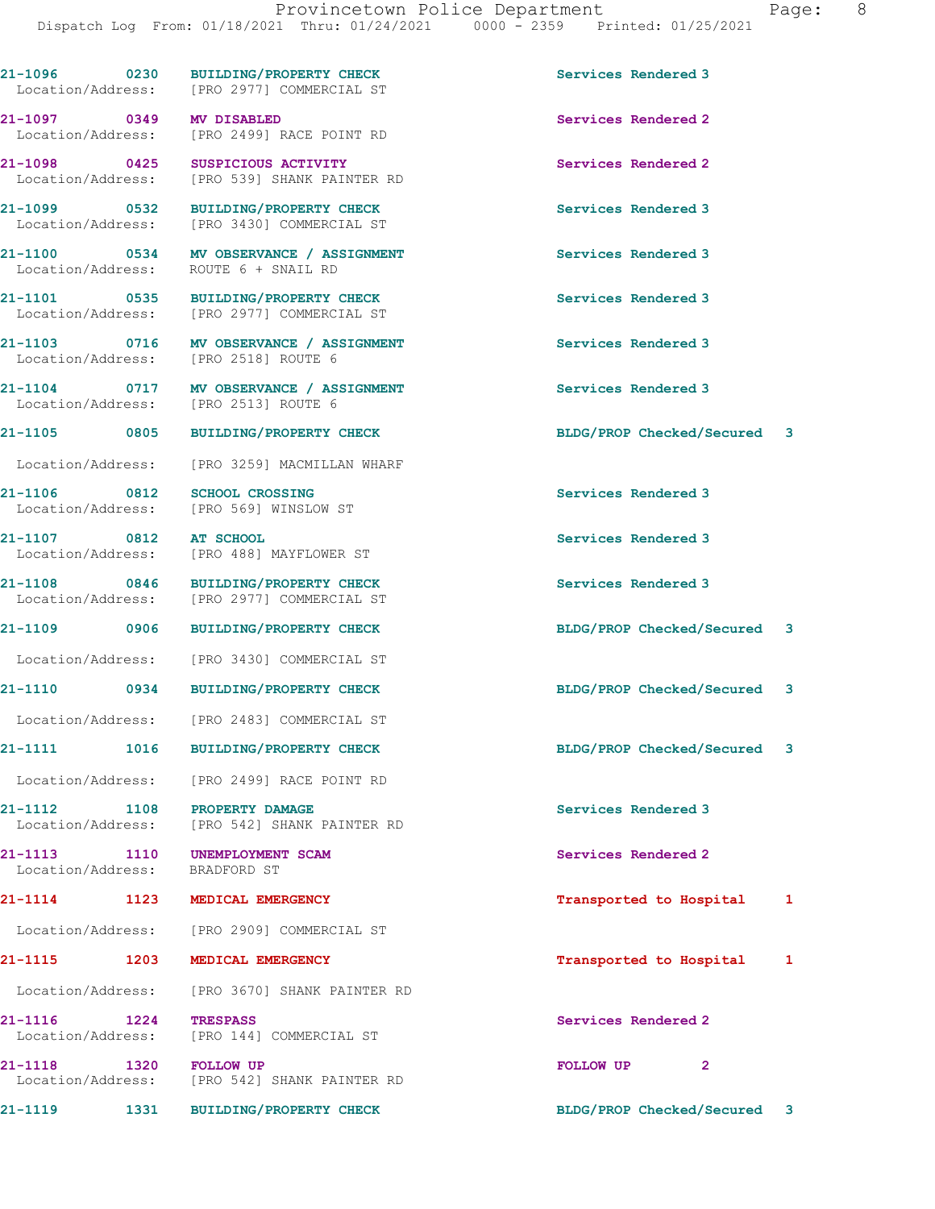21-1096 0230 BUILDING/PROPERTY CHECK Services Rendered 3 Location/Address: [PRO 2977] COMMERCIAL ST 21-1097 0349 MV DISABLED Services Rendered 2 Location/Address: [PRO 2499] RACE POINT RD 21-1098 0425 SUSPICIOUS ACTIVITY Services Rendered 2 Location/Address: [PRO 539] SHANK PAINTER RD 21-1099 0532 BUILDING/PROPERTY CHECK Services Rendered 3 Location/Address: [PRO 3430] COMMERCIAL ST 21-1100 0534 MV OBSERVANCE / ASSIGNMENT Services Rendered 3 Location/Address: ROUTE 6 + SNAIL RD 21-1101 0535 BUILDING/PROPERTY CHECK Services Rendered 3 Location/Address: [PRO 2977] COMMERCIAL ST 21-1103 0716 MV OBSERVANCE / ASSIGNMENT Services Rendered 3<br>
Location/Address: [PRO 2518] ROUTE 6 Location/Address: 21-1104 0717 MV OBSERVANCE / ASSIGNMENT Services Rendered 3<br>
Location/Address: [PRO 2513] ROUTE 6 Location/Address: 21-1105 0805 BUILDING/PROPERTY CHECK BLDG/PROP Checked/Secured 3 Location/Address: [PRO 3259] MACMILLAN WHARF 21-1106 0812 SCHOOL CROSSING Services Rendered 3 Location/Address: [PRO 569] WINSLOW ST 21-1107 0812 AT SCHOOL Services Rendered 3 Location/Address: [PRO 488] MAYFLOWER ST 21-1108 0846 BUILDING/PROPERTY CHECK Services Rendered 3 Location/Address: [PRO 2977] COMMERCIAL ST 21-1109 0906 BUILDING/PROPERTY CHECK BLDG/PROP Checked/Secured 3 Location/Address: [PRO 3430] COMMERCIAL ST 21-1110 0934 BUILDING/PROPERTY CHECK BLDG/PROP Checked/Secured 3 Location/Address: [PRO 2483] COMMERCIAL ST 21-1111 1016 BUILDING/PROPERTY CHECK BLDG/PROP Checked/Secured 3 Location/Address: [PRO 2499] RACE POINT RD 21-1112 1108 PROPERTY DAMAGE Services Rendered 3 Location/Address: [PRO 542] SHANK PAINTER RD 21-1113 1110 UNEMPLOYMENT SCAM Services Rendered 2 Location/Address: BRADFORD ST 21-1114 1123 MEDICAL EMERGENCY **120 121-1114** 1123 Hospital 1 Location/Address: [PRO 2909] COMMERCIAL ST 21-1115 1203 MEDICAL EMERGENCY Transported to Hospital 1 Location/Address: [PRO 3670] SHANK PAINTER RD 21-1116 1224 TRESPASS Services Rendered 2 Location/Address: [PRO 144] COMMERCIAL ST 21-1118 1320 FOLLOW UP **FOLLOW UP** 2 Location/Address: [PRO 542] SHANK PAINTER RD 21-1119 1331 BUILDING/PROPERTY CHECK BLDG/PROP Checked/Secured 3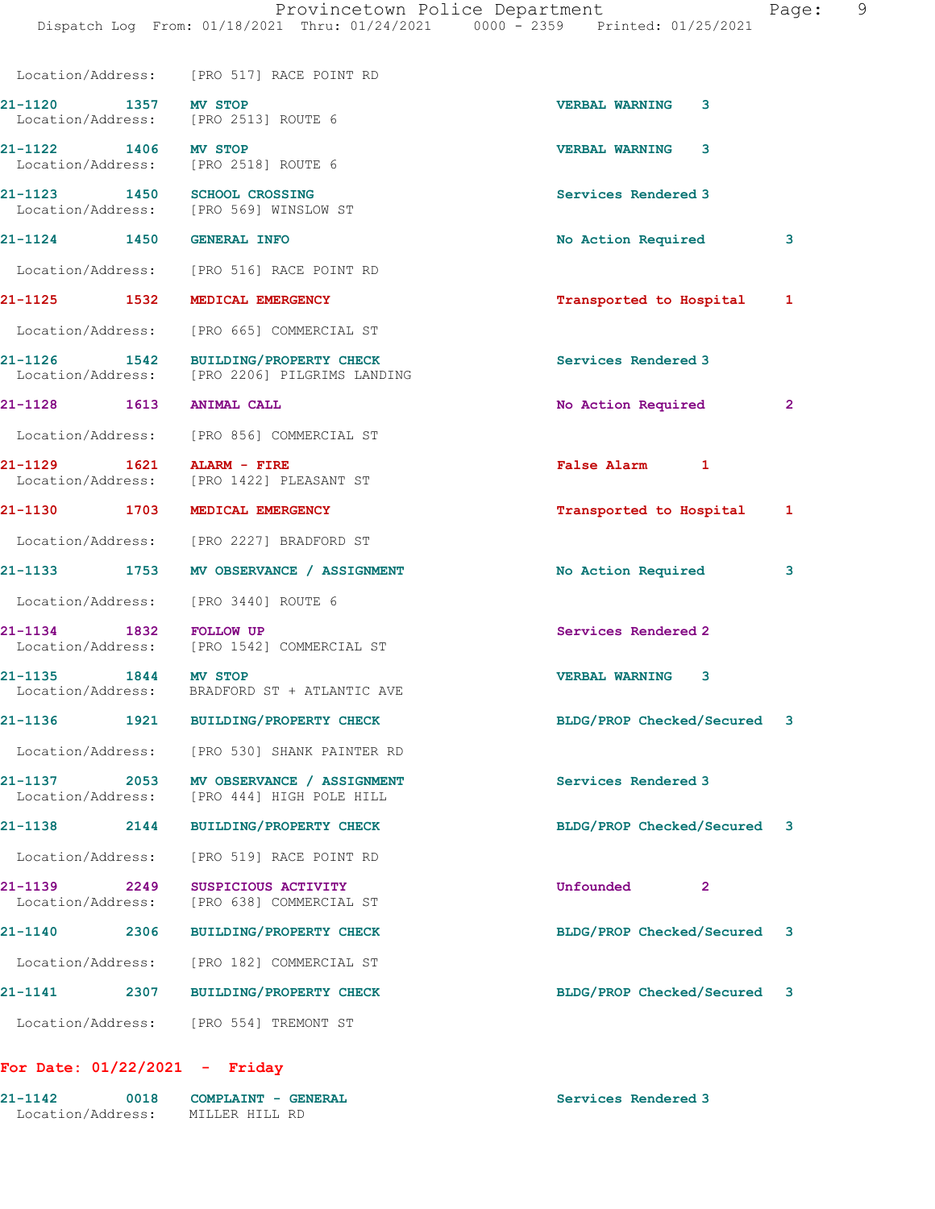|                                      | Location/Address: [PRO 517] RACE POINT RD                                             |                                               |
|--------------------------------------|---------------------------------------------------------------------------------------|-----------------------------------------------|
|                                      | 21-1120 1357 MV STOP<br>Location/Address: [PRO 2513] ROUTE 6                          | <b>VERBAL WARNING</b><br>3                    |
| 21-1122 1406 MV STOP                 | Location/Address: [PRO 2518] ROUTE 6                                                  | <b>VERBAL WARNING</b><br>3                    |
|                                      | 21-1123 1450 SCHOOL CROSSING<br>Location/Address: [PRO 569] WINSLOW ST                | Services Rendered 3                           |
| 21-1124 1450 GENERAL INFO            |                                                                                       | No Action Required<br>3                       |
|                                      | Location/Address: [PRO 516] RACE POINT RD                                             |                                               |
| 21-1125 1532                         | MEDICAL EMERGENCY                                                                     | Transported to Hospital 1                     |
|                                      | Location/Address: [PRO 665] COMMERCIAL ST                                             |                                               |
|                                      | 21-1126 1542 BUILDING/PROPERTY CHECK<br>Location/Address: [PRO 2206] PILGRIMS LANDING | Services Rendered 3                           |
| 21-1128 1613 ANIMAL CALL             |                                                                                       | No Action Required<br>$\overline{\mathbf{2}}$ |
|                                      | Location/Address: [PRO 856] COMMERCIAL ST                                             |                                               |
| 21-1129 1621                         | ALARM - FIRE<br>Location/Address: [PRO 1422] PLEASANT ST                              | False Alarm 1                                 |
| 21-1130 1703                         | MEDICAL EMERGENCY                                                                     | Transported to Hospital<br>1                  |
|                                      | Location/Address: [PRO 2227] BRADFORD ST                                              |                                               |
|                                      | 21-1133 1753 MV OBSERVANCE / ASSIGNMENT                                               | No Action Required<br>3                       |
|                                      | Location/Address: [PRO 3440] ROUTE 6                                                  |                                               |
| 1832<br>21-1134                      | <b>FOLLOW UP</b><br>Location/Address: [PRO 1542] COMMERCIAL ST                        | Services Rendered 2                           |
| 21-1135 1844 MV STOP                 | Location/Address: BRADFORD ST + ATLANTIC AVE                                          | <b>VERBAL WARNING 3</b>                       |
|                                      | 21-1136 1921 BUILDING/PROPERTY CHECK                                                  | BLDG/PROP Checked/Secured 3                   |
|                                      | Location/Address: [PRO 530] SHANK PAINTER RD                                          |                                               |
| 21-1137<br>2053<br>Location/Address: | MV OBSERVANCE / ASSIGNMENT<br>[PRO 444] HIGH POLE HILL                                | Services Rendered 3                           |
| 21-1138<br>2144                      | <b>BUILDING/PROPERTY CHECK</b>                                                        | BLDG/PROP Checked/Secured 3                   |
| Location/Address:                    | [PRO 519] RACE POINT RD                                                               |                                               |
| 21-1139<br>2249<br>Location/Address: | SUSPICIOUS ACTIVITY<br>[PRO 638] COMMERCIAL ST                                        | Unfounded<br>2                                |
| 21-1140<br>2306                      | <b>BUILDING/PROPERTY CHECK</b>                                                        | BLDG/PROP Checked/Secured 3                   |
| Location/Address:                    | [PRO 182] COMMERCIAL ST                                                               |                                               |
| 21-1141<br>2307                      | <b>BUILDING/PROPERTY CHECK</b>                                                        | BLDG/PROP Checked/Secured 3                   |
| Location/Address:                    | [PRO 554] TREMONT ST                                                                  |                                               |

# For Date: 01/22/2021 - Friday

| $21 - 1142$       | 0018 | COMPLAINT - GENERAL | Services Rendered 3 |
|-------------------|------|---------------------|---------------------|
| Location/Address: |      | MILLER HILL RD      |                     |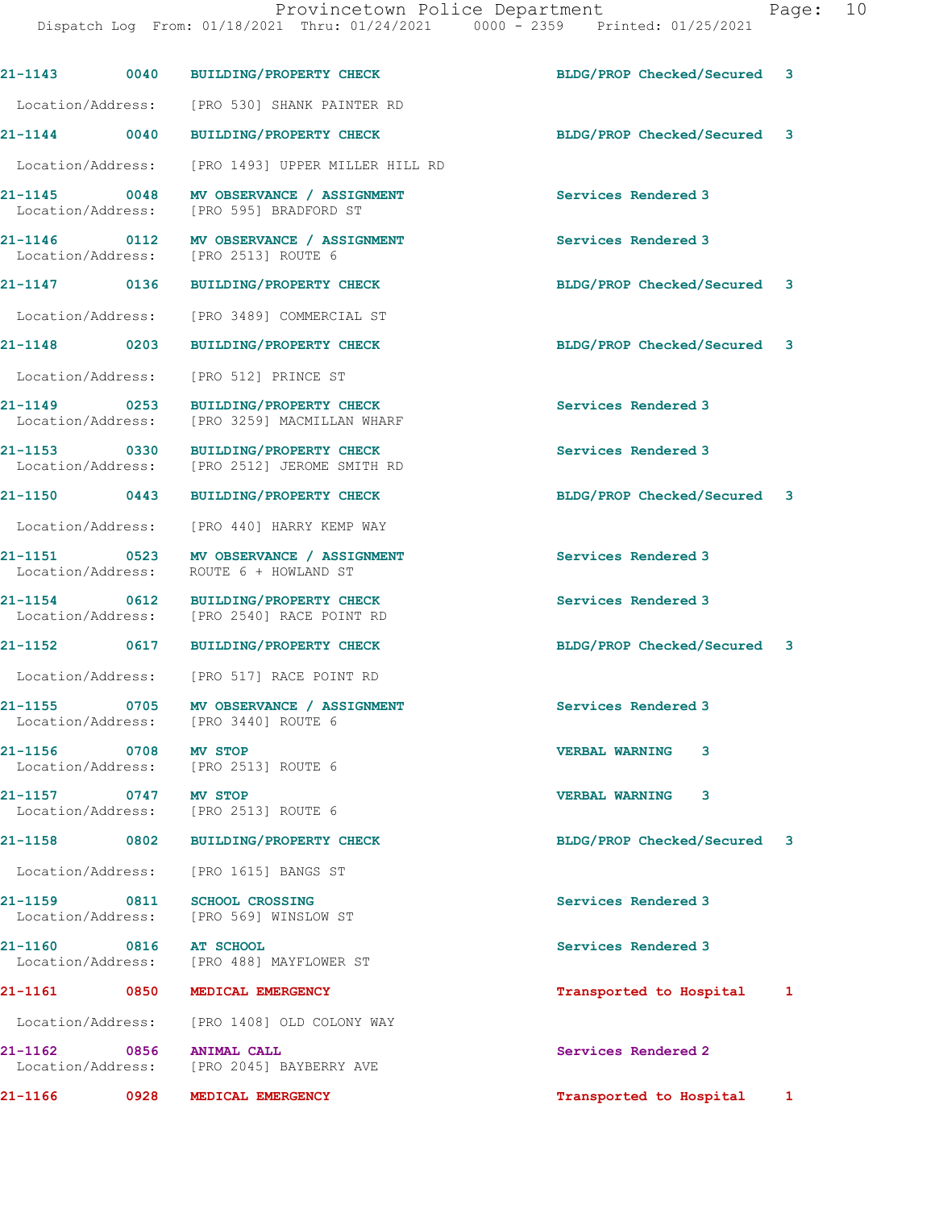| 21-1143 0040                      |      | <b>BUILDING/PROPERTY CHECK</b>                                                  | BLDG/PROP Checked/Secured   | 3 |
|-----------------------------------|------|---------------------------------------------------------------------------------|-----------------------------|---|
| Location/Address:                 |      | [PRO 530] SHANK PAINTER RD                                                      |                             |   |
| $21 - 1144$ 0040                  |      | <b>BUILDING/PROPERTY CHECK</b>                                                  | BLDG/PROP Checked/Secured   | 3 |
| Location/Address:                 |      | [PRO 1493] UPPER MILLER HILL RD                                                 |                             |   |
| 21-1145 0048<br>Location/Address: |      | MV OBSERVANCE / ASSIGNMENT<br>[PRO 595] BRADFORD ST                             | Services Rendered 3         |   |
| 21-1146 0112<br>Location/Address: |      | MV OBSERVANCE / ASSIGNMENT<br>[PRO 2513] ROUTE 6                                | Services Rendered 3         |   |
| 21-1147 0136                      |      | <b>BUILDING/PROPERTY CHECK</b>                                                  | BLDG/PROP Checked/Secured 3 |   |
| Location/Address:                 |      | [PRO 3489] COMMERCIAL ST                                                        |                             |   |
| 21-1148 0203                      |      | <b>BUILDING/PROPERTY CHECK</b>                                                  | BLDG/PROP Checked/Secured   | 3 |
| Location/Address:                 |      | [PRO 512] PRINCE ST                                                             |                             |   |
| 21-1149 0253<br>Location/Address: |      | BUILDING/PROPERTY CHECK<br>[PRO 3259] MACMILLAN WHARF                           | Services Rendered 3         |   |
| Location/Address:                 |      | 21-1153 0330 BUILDING/PROPERTY CHECK<br>[PRO 2512] JEROME SMITH RD              | Services Rendered 3         |   |
| 21-1150 0443                      |      | <b>BUILDING/PROPERTY CHECK</b>                                                  | BLDG/PROP Checked/Secured 3 |   |
| Location/Address:                 |      | [PRO 440] HARRY KEMP WAY                                                        |                             |   |
| 21-1151 0523<br>Location/Address: |      | MV OBSERVANCE / ASSIGNMENT<br>ROUTE 6 + HOWLAND ST                              | Services Rendered 3         |   |
| 21-1154 0612<br>Location/Address: |      | <b>BUILDING/PROPERTY CHECK</b><br>[PRO 2540] RACE POINT RD                      | Services Rendered 3         |   |
| 21-1152 0617                      |      | <b>BUILDING/PROPERTY CHECK</b>                                                  | BLDG/PROP Checked/Secured 3 |   |
|                                   |      | Location/Address: [PRO 517] RACE POINT RD                                       |                             |   |
|                                   |      | 21-1155 0705 MV OBSERVANCE / ASSIGNMENT<br>Location/Address: [PRO 3440] ROUTE 6 | Services Rendered 3         |   |
| 21-1156 0708 MV STOP              |      | Location/Address: [PRO 2513] ROUTE 6                                            | <b>VERBAL WARNING</b><br>3  |   |
| 21-1157 0747                      |      | <b>MV STOP</b><br>Location/Address: [PRO 2513] ROUTE 6                          | <b>VERBAL WARNING</b><br>3  |   |
| 21-1158                           |      | 0802 BUILDING/PROPERTY CHECK                                                    | BLDG/PROP Checked/Secured   | 3 |
| Location/Address:                 |      | [PRO 1615] BANGS ST                                                             |                             |   |
| 21-1159<br>Location/Address:      | 0811 | <b>SCHOOL CROSSING</b><br>[PRO 569] WINSLOW ST                                  | Services Rendered 3         |   |
| 21-1160                           | 0816 | <b>AT SCHOOL</b><br>Location/Address: [PRO 488] MAYFLOWER ST                    | Services Rendered 3         |   |
| 21-1161                           | 0850 | MEDICAL EMERGENCY                                                               | Transported to Hospital     | 1 |
|                                   |      | Location/Address: [PRO 1408] OLD COLONY WAY                                     |                             |   |
| $21 - 1162$<br>Location/Address:  | 0856 | <b>ANIMAL CALL</b><br>[PRO 2045] BAYBERRY AVE                                   | Services Rendered 2         |   |
| 21-1166                           | 0928 | MEDICAL EMERGENCY                                                               | Transported to Hospital     | 1 |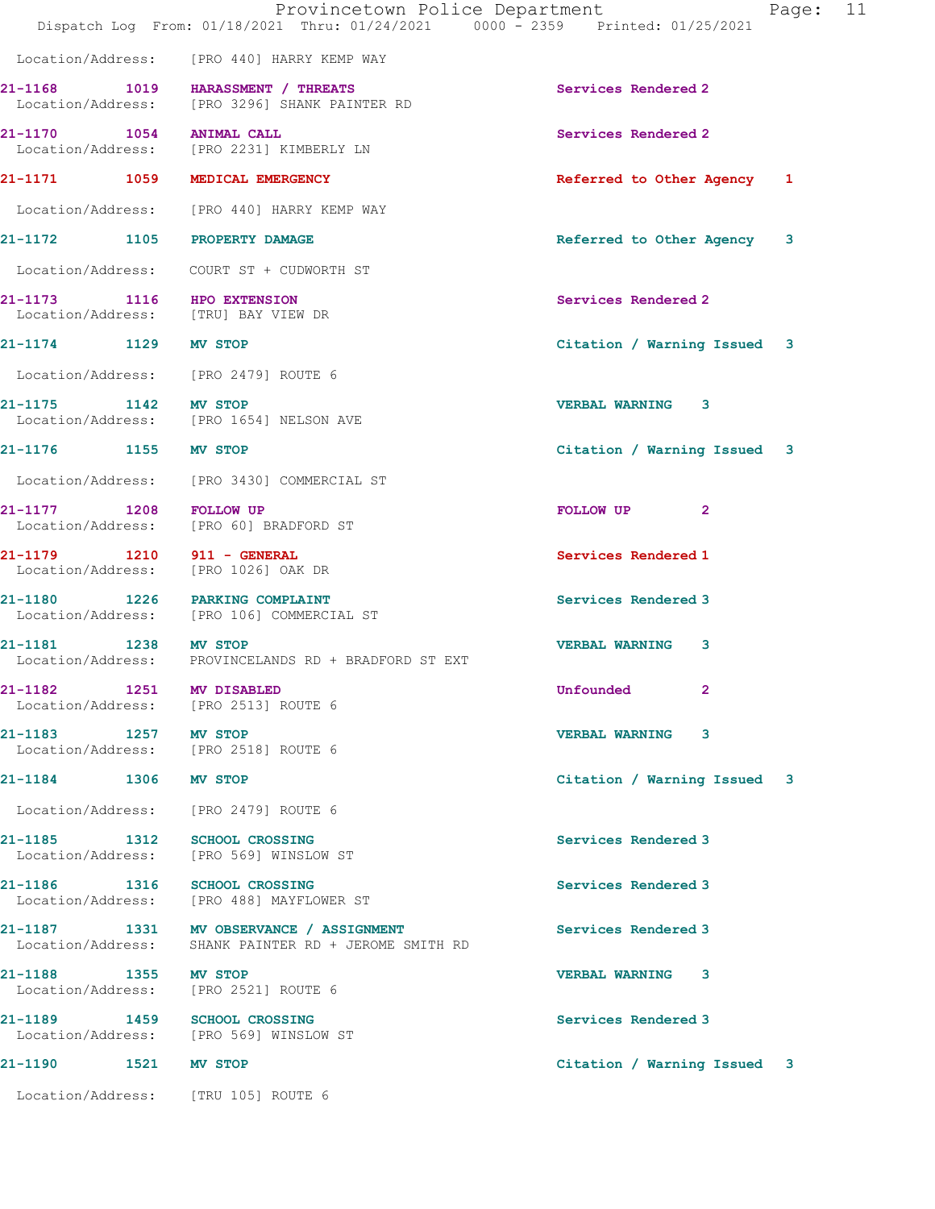|                                                                   | Provincetown Police Department<br>Dispatch Log From: 01/18/2021 Thru: 01/24/2021 0000 - 2359 Printed: 01/25/2021 | Page: 11                      |  |
|-------------------------------------------------------------------|------------------------------------------------------------------------------------------------------------------|-------------------------------|--|
|                                                                   | Location/Address: [PRO 440] HARRY KEMP WAY                                                                       |                               |  |
|                                                                   | 21-1168 1019 HARASSMENT / THREATS<br>Location/Address: [PRO 3296] SHANK PAINTER RD                               | Services Rendered 2           |  |
| 21-1170 1054 ANIMAL CALL                                          | Location/Address: [PRO 2231] KIMBERLY LN                                                                         | Services Rendered 2           |  |
| 21-1171 1059 MEDICAL EMERGENCY                                    |                                                                                                                  | Referred to Other Agency 1    |  |
|                                                                   | Location/Address: [PRO 440] HARRY KEMP WAY                                                                       |                               |  |
| 21-1172 1105 PROPERTY DAMAGE                                      |                                                                                                                  | Referred to Other Agency<br>3 |  |
|                                                                   | Location/Address: COURT ST + CUDWORTH ST                                                                         |                               |  |
| 21-1173 1116 HPO EXTENSION<br>Location/Address: [TRU] BAY VIEW DR |                                                                                                                  | Services Rendered 2           |  |
| 21-1174 1129 MV STOP                                              |                                                                                                                  | Citation / Warning Issued 3   |  |
| Location/Address: [PRO 2479] ROUTE 6                              |                                                                                                                  |                               |  |
| 21-1175 1142 MV STOP                                              | Location/Address: [PRO 1654] NELSON AVE                                                                          | <b>VERBAL WARNING 3</b>       |  |
| 21-1176 1155 MV STOP                                              |                                                                                                                  | Citation / Warning Issued 3   |  |
|                                                                   | Location/Address: [PRO 3430] COMMERCIAL ST                                                                       |                               |  |
|                                                                   | 21-1177 1208 FOLLOW UP<br>Location/Address: [PRO 60] BRADFORD ST                                                 | FOLLOW UP <sub>2</sub>        |  |
| 21-1179 1210 911 - GENERAL<br>Location/Address: [PRO 1026] OAK DR |                                                                                                                  | Services Rendered 1           |  |
| 21-1180 1226 PARKING COMPLAINT                                    | Location/Address: [PRO 106] COMMERCIAL ST                                                                        | Services Rendered 3           |  |
| 21-1181 1238 MV STOP                                              | Location/Address: PROVINCELANDS RD + BRADFORD ST EXT                                                             | <b>VERBAL WARNING</b><br>3    |  |
| 1251<br>21-1182<br>Location/Address: [PRO 2513] ROUTE 6           | <b>MV DISABLED</b>                                                                                               | Unfounded<br>2                |  |
| 21-1183 1257 MV STOP<br>Location/Address: [PRO 2518] ROUTE 6      |                                                                                                                  | <b>VERBAL WARNING 3</b>       |  |
| 21-1184 1306 MV STOP                                              |                                                                                                                  | Citation / Warning Issued 3   |  |
| Location/Address: [PRO 2479] ROUTE 6                              |                                                                                                                  |                               |  |
| 21-1185 1312                                                      | <b>SCHOOL CROSSING</b><br>Location/Address: [PRO 569] WINSLOW ST                                                 | Services Rendered 3           |  |
|                                                                   | 21-1186 1316 SCHOOL CROSSING<br>Location/Address: [PRO 488] MAYFLOWER ST                                         | Services Rendered 3           |  |
| Location/Address:                                                 | 21-1187   1331 MV OBSERVANCE / ASSIGNMENT<br>SHANK PAINTER RD + JEROME SMITH RD                                  | Services Rendered 3           |  |
| 21-1188 1355 MV STOP<br>Location/Address: [PRO 2521] ROUTE 6      |                                                                                                                  | <b>VERBAL WARNING 3</b>       |  |
| 21-1189 1459 SCHOOL CROSSING                                      | Location/Address: [PRO 569] WINSLOW ST                                                                           | Services Rendered 3           |  |
| 21-1190<br>1521                                                   | MV STOP                                                                                                          | Citation / Warning Issued 3   |  |

Location/Address: [TRU 105] ROUTE 6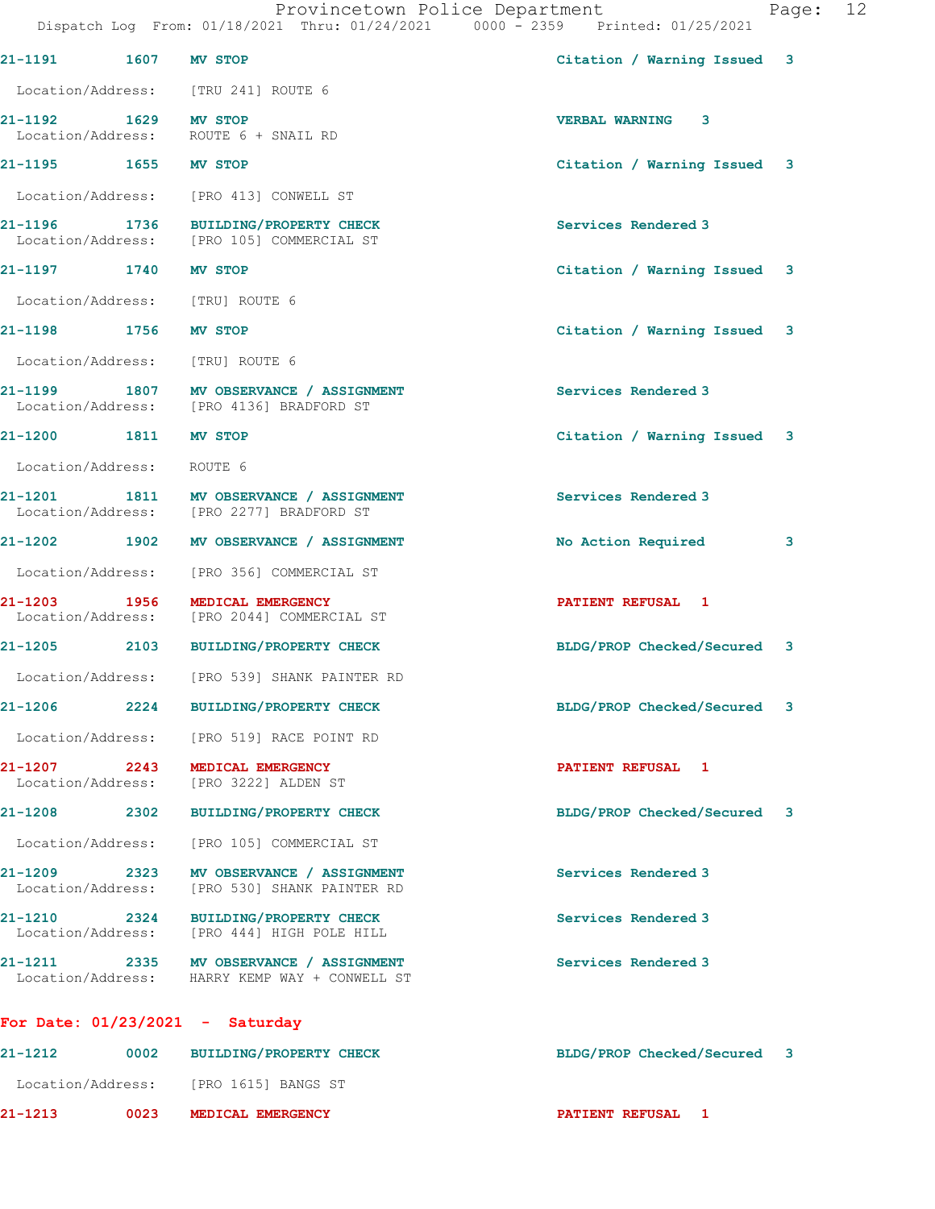|                                                |  | Provincetown Police Department |  |                                 | Page: 12 |  |
|------------------------------------------------|--|--------------------------------|--|---------------------------------|----------|--|
| Dispatch Log From: 01/18/2021 Thru: 01/24/2021 |  |                                |  | 0000 - 2359 Printed: 01/25/2021 |          |  |

| 21-1191 1607 MV STOP              |      |                                                                                          | Citation / Warning Issued 3 |                         |
|-----------------------------------|------|------------------------------------------------------------------------------------------|-----------------------------|-------------------------|
|                                   |      | Location/Address: [TRU 241] ROUTE 6                                                      |                             |                         |
| 21-1192 1629 MV STOP              |      | Location/Address: ROUTE 6 + SNAIL RD                                                     | <b>VERBAL WARNING 3</b>     |                         |
| 21-1195 1655 MV STOP              |      |                                                                                          | Citation / Warning Issued 3 |                         |
|                                   |      | Location/Address: [PRO 413] CONWELL ST                                                   |                             |                         |
|                                   |      | 21-1196 1736 BUILDING/PROPERTY CHECK<br>Location/Address: [PRO 105] COMMERCIAL ST        | Services Rendered 3         |                         |
| 21-1197 1740 MV STOP              |      |                                                                                          | Citation / Warning Issued 3 |                         |
| Location/Address: [TRU] ROUTE 6   |      |                                                                                          |                             |                         |
| 21-1198 1756 MV STOP              |      |                                                                                          | Citation / Warning Issued 3 |                         |
| Location/Address: [TRU] ROUTE 6   |      |                                                                                          |                             |                         |
|                                   |      | 21-1199 1807 MV OBSERVANCE / ASSIGNMENT<br>Location/Address: [PRO 4136] BRADFORD ST      | Services Rendered 3         |                         |
| 21-1200 1811 MV STOP              |      |                                                                                          | Citation / Warning Issued 3 |                         |
| Location/Address: ROUTE 6         |      |                                                                                          |                             |                         |
|                                   |      | 21-1201 1811 MV OBSERVANCE / ASSIGNMENT<br>Location/Address: [PRO 2277] BRADFORD ST      | Services Rendered 3         |                         |
|                                   |      | 21-1202 1902 MV OBSERVANCE / ASSIGNMENT                                                  | No Action Required          | $\overline{\mathbf{3}}$ |
|                                   |      | Location/Address: [PRO 356] COMMERCIAL ST                                                |                             |                         |
| 21-1203 1956                      |      | MEDICAL EMERGENCY<br>Location/Address: [PRO 2044] COMMERCIAL ST                          | <b>PATIENT REFUSAL 1</b>    |                         |
|                                   |      | 21-1205 2103 BUILDING/PROPERTY CHECK                                                     | BLDG/PROP Checked/Secured 3 |                         |
|                                   |      | Location/Address: [PRO 539] SHANK PAINTER RD                                             |                             |                         |
|                                   |      | 21-1206 2224 BUILDING/PROPERTY CHECK                                                     | BLDG/PROP Checked/Secured 3 |                         |
|                                   |      | Location/Address: [PRO 519] RACE POINT RD                                                |                             |                         |
|                                   |      | 21-1207 2243 MEDICAL EMERGENCY<br>Location/Address: [PRO 3222] ALDEN ST                  | PATIENT REFUSAL 1           |                         |
|                                   |      | 21-1208 2302 BUILDING/PROPERTY CHECK                                                     | BLDG/PROP Checked/Secured 3 |                         |
|                                   |      | Location/Address: [PRO 105] COMMERCIAL ST                                                |                             |                         |
|                                   |      | 21-1209 2323 MV OBSERVANCE / ASSIGNMENT<br>Location/Address: [PRO 530] SHANK PAINTER RD  | Services Rendered 3         |                         |
|                                   |      | 21-1210 2324 BUILDING/PROPERTY CHECK<br>Location/Address: [PRO 444] HIGH POLE HILL       | Services Rendered 3         |                         |
|                                   |      | 21-1211 2335 MV OBSERVANCE / ASSIGNMENT<br>Location/Address: HARRY KEMP WAY + CONWELL ST | Services Rendered 3         |                         |
| For Date: $01/23/2021$ - Saturday |      |                                                                                          |                             |                         |
| 21-1212                           | 0002 | <b>BUILDING/PROPERTY CHECK</b>                                                           | BLDG/PROP Checked/Secured 3 |                         |

Location/Address: [PRO 1615] BANGS ST

21-1213 0023 MEDICAL EMERGENCY **PATIENT REFUSAL** 1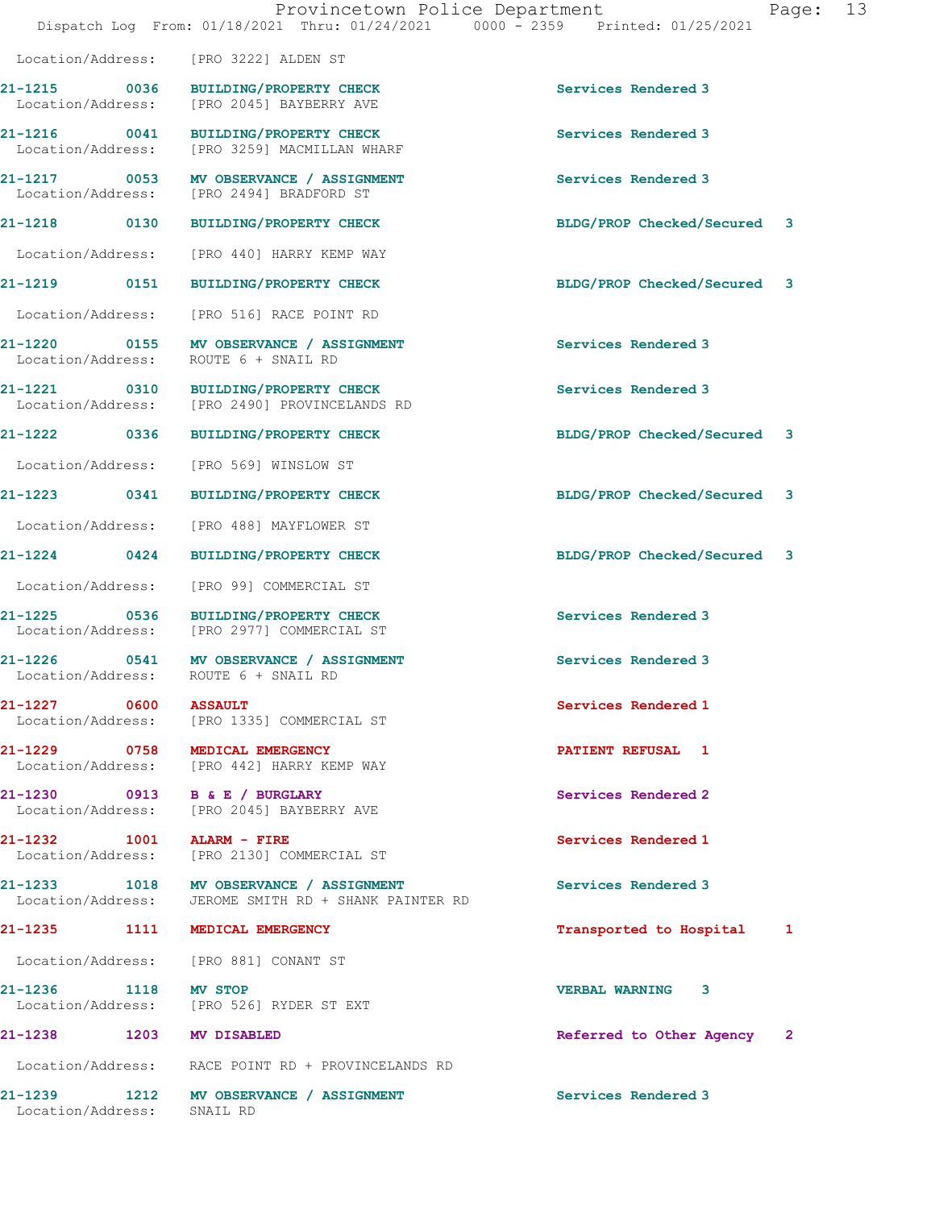|                                | Provincetown Police Department<br>Dispatch Log From: 01/18/2021 Thru: 01/24/2021 0000 - 2359 Printed: 01/25/2021 | Page: 13                       |  |
|--------------------------------|------------------------------------------------------------------------------------------------------------------|--------------------------------|--|
|                                | Location/Address: [PRO 3222] ALDEN ST                                                                            |                                |  |
|                                | 21-1215 0036 BUILDING/PROPERTY CHECK<br>Location/Address: [PRO 2045] BAYBERRY AVE                                | Services Rendered 3            |  |
|                                | 21-1216 0041 BUILDING/PROPERTY CHECK<br>Location/Address: [PRO 3259] MACMILLAN WHARF                             | Services Rendered 3            |  |
|                                | 21-1217 0053 MV OBSERVANCE / ASSIGNMENT<br>Location/Address: [PRO 2494] BRADFORD ST                              | Services Rendered 3            |  |
|                                | 21-1218 0130 BUILDING/PROPERTY CHECK                                                                             | BLDG/PROP Checked/Secured 3    |  |
|                                | Location/Address: [PRO 440] HARRY KEMP WAY                                                                       |                                |  |
|                                | 21-1219 0151 BUILDING/PROPERTY CHECK                                                                             | BLDG/PROP Checked/Secured 3    |  |
|                                | Location/Address: [PRO 516] RACE POINT RD                                                                        |                                |  |
|                                | 21-1220 0155 MV OBSERVANCE / ASSIGNMENT<br>Location/Address: ROUTE 6 + SNAIL RD                                  | Services Rendered 3            |  |
|                                | 21-1221 0310 BUILDING/PROPERTY CHECK<br>Location/Address: [PRO 2490] PROVINCELANDS RD                            | Services Rendered 3            |  |
| 21-1222 0336                   | <b>BUILDING/PROPERTY CHECK</b>                                                                                   | BLDG/PROP Checked/Secured 3    |  |
|                                | Location/Address: [PRO 569] WINSLOW ST                                                                           |                                |  |
|                                | 21-1223 0341 BUILDING/PROPERTY CHECK                                                                             | BLDG/PROP Checked/Secured<br>3 |  |
|                                | Location/Address: [PRO 488] MAYFLOWER ST                                                                         |                                |  |
|                                | 21-1224 0424 BUILDING/PROPERTY CHECK                                                                             | BLDG/PROP Checked/Secured 3    |  |
| Location/Address:              | [PRO 99] COMMERCIAL ST                                                                                           |                                |  |
| 21-1225                        | 0536 BUILDING/PROPERTY CHECK<br>Location/Address: [PRO 2977] COMMERCIAL ST                                       | Services Rendered 3            |  |
|                                | 21-1226 0541 MV OBSERVANCE / ASSIGNMENT<br>Location/Address: ROUTE 6 + SNAIL RD                                  | Services Rendered 3            |  |
| 21-1227 0600 ASSAULT           | Location/Address: [PRO 1335] COMMERCIAL ST                                                                       | Services Rendered 1            |  |
| 21-1229 0758 MEDICAL EMERGENCY | Location/Address: [PRO 442] HARRY KEMP WAY                                                                       | PATIENT REFUSAL 1              |  |
| 21-1230 0913 B & E / BURGLARY  | Location/Address: [PRO 2045] BAYBERRY AVE                                                                        | Services Rendered 2            |  |
| 21-1232 1001 ALARM - FIRE      | Location/Address: [PRO 2130] COMMERCIAL ST                                                                       | Services Rendered 1            |  |
|                                | 21-1233 1018 MV OBSERVANCE / ASSIGNMENT<br>Location/Address: JEROME SMITH RD + SHANK PAINTER RD                  | Services Rendered 3            |  |
| 21-1235 1111 MEDICAL EMERGENCY |                                                                                                                  | Transported to Hospital 1      |  |
|                                | Location/Address: [PRO 881] CONANT ST                                                                            |                                |  |
| 21-1236 1118 MV STOP           | Location/Address: [PRO 526] RYDER ST EXT                                                                         | <b>VERBAL WARNING 3</b>        |  |
| 21-1238 1203 MV DISABLED       |                                                                                                                  | Referred to Other Agency 2     |  |
|                                | Location/Address: RACE POINT RD + PROVINCELANDS RD                                                               |                                |  |
| Location/Address:              | 21-1239 1212 MV OBSERVANCE / ASSIGNMENT<br>SNAIL RD                                                              | Services Rendered 3            |  |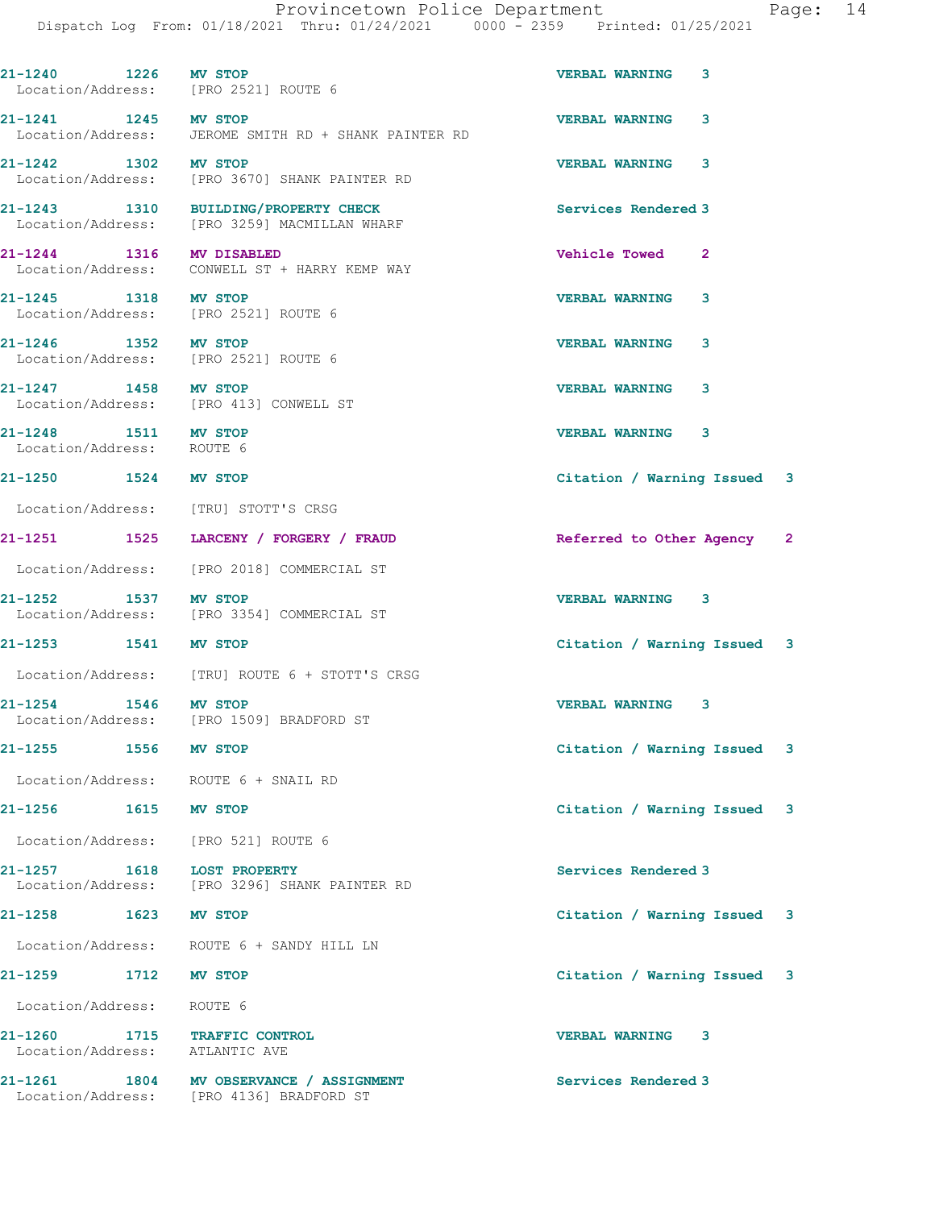21-1240 1226 MV STOP VERBAL WARNING 3 Location/Address: [PRO 2521] ROUTE 6 21-1241 1245 MV STOP VERBAL WARNING 3 Location/Address: JEROME SMITH RD + SHANK PAINTER RD 21-1242 1302 MV STOP VERBAL WARNING 3 Location/Address: [PRO 3670] SHANK PAINTER RD 21-1243 1310 BUILDING/PROPERTY CHECK Services Rendered 3 Location/Address: [PRO 3259] MACMILLAN WHARF 21-1244 1316 MV DISABLED Vehicle Towed 2 Location/Address: CONWELL ST + HARRY KEMP WAY 21-1245 1318 MV STOP VERBAL WARNING 3 Location/Address: [PRO 2521] ROUTE 6 21-1246 1352 MV STOP 1246 1352 MV STOP 1246 1352 MV STOP 1216 VERBAL WARNING 3 Location/Address: 21-1247 1458 MV STOP VERBAL WARNING 3 Location/Address: [PRO 413] CONWELL ST 21-1248 1511 MV STOP 1248 1511 MV STOP 1248 1511 MV STOP 1248 121-1248 13 Location/Address: 21-1250 1524 MV STOP Citation / Warning Issued 3 Location/Address: [TRU] STOTT'S CRSG 21-1251 1525 LARCENY / FORGERY / FRAUD Referred to Other Agency 2 Location/Address: [PRO 2018] COMMERCIAL ST 21-1252 1537 MV STOP VERBAL WARNING 3 Location/Address: [PRO 3354] COMMERCIAL ST 21-1253 1541 MV STOP Citation / Warning Issued 3 Location/Address: [TRU] ROUTE 6 + STOTT'S CRSG 21-1254 1546 MV STOP VERBAL WARNING 3 Location/Address: [PRO 1509] BRADFORD ST 21-1255 1556 MV STOP Citation / Warning Issued 3 Location/Address: ROUTE 6 + SNAIL RD 21-1256 1615 MV STOP Citation / Warning Issued 3 Location/Address: [PRO 521] ROUTE 6 21-1257 1618 LOST PROPERTY **1618 Services Rendered 3**  Location/Address: [PRO 3296] SHANK PAINTER RD 21-1258 1623 MV STOP Citation / Warning Issued 3 Location/Address: ROUTE 6 + SANDY HILL LN 21-1259 1712 MV STOP Citation / Warning Issued 3 Location/Address: ROUTE 6 21-1260 1715 TRAFFIC CONTROL VERBAL WARNING 3 Location/Address: ATLANTIC AVE 21-1261 1804 MV OBSERVANCE / ASSIGNMENT Services Rendered 3

Location/Address: [PRO 4136] BRADFORD ST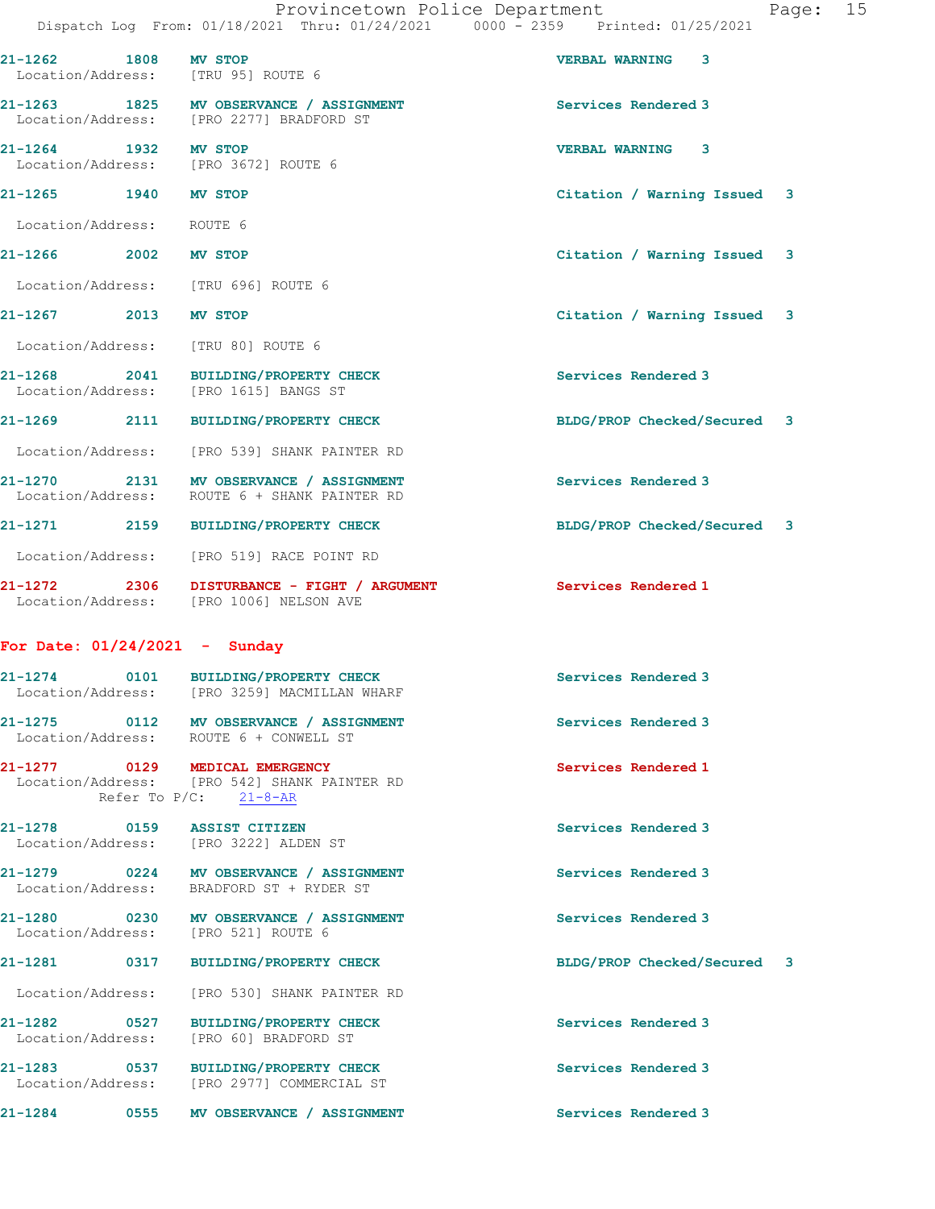|                                    |         | Provincetown Police Department                                                 | Page: 15 |
|------------------------------------|---------|--------------------------------------------------------------------------------|----------|
|                                    |         | Dispatch Log From: 01/18/2021 Thru: 01/24/2021 0000 - 2359 Printed: 01/25/2021 |          |
| 21-1262 1808                       | MV STOP | <b>VERBAL WARNING 3</b>                                                        |          |
| Location/Address: [TRU 95] ROUTE 6 |         |                                                                                |          |

21-1265 1940 MV STOP Citation / Warning Issued 3

| 21-1263<br>Location/Address: | 1825  | MV OBSERVANCE / ASSIGNMENT<br>[PRO 2277] BRADFORD ST | Services Rendered 3         |
|------------------------------|-------|------------------------------------------------------|-----------------------------|
| $21 - 1264$                  | 1932. | MV STOP                                              | -3<br><b>VERBAL WARNING</b> |

Location/Address: [PRO 3672] ROUTE 6

Location/Address: ROUTE 6

21-1266 2002 MV STOP Citation / Warning Issued 3

Location/Address: [TRU 696] ROUTE 6

# 21-1267 2013 MV STOP Citation / Warning Issued 3

Location/Address: [TRU 80] ROUTE 6

21-1268 2041 BUILDING/PROPERTY CHECK Services Rendered 3<br>
Location/Address: [PRO 1615] BANGS ST [PRO 1615] BANGS ST

21-1269 2111 BUILDING/PROPERTY CHECK BLDG/PROP Checked/Secured 3

Location/Address: [PRO 539] SHANK PAINTER RD

21-1270 2131 MV OBSERVANCE / ASSIGNMENT Services Rendered 3 Location/Address: ROUTE 6 + SHANK PAINTER RD

21-1271 2159 BUILDING/PROPERTY CHECK BLDG/PROP Checked/Secured 3

Location/Address: [PRO 519] RACE POINT RD

21-1272 2306 DISTURBANCE - FIGHT / ARGUMENT Services Rendered 1 Location/Address: [PRO 1006] NELSON AVE

### For Date: 01/24/2021 - Sunday

21-1274 0101 BUILDING/PROPERTY CHECK Services Rendered 3 Location/Address: [PRO 3259] MACMILLAN WHARF 21-1275 0112 MV OBSERVANCE / ASSIGNMENT Services Rendered 3 Location/Address: ROUTE 6 + CONWELL ST 21-1277 0129 MEDICAL EMERGENCY Services Rendered 1

 Location/Address: [PRO 542] SHANK PAINTER RD Refer To  $P/C$ :  $21-8-AR$ 

21-1278 0159 ASSIST CITIZEN Services Rendered 3 Location/Address:

21-1279 0224 MV OBSERVANCE / ASSIGNMENT Services Rendered 3 Location/Address: BRADFORD ST + RYDER ST

21-1280 0230 MV OBSERVANCE / ASSIGNMENT Services Rendered 3 Location/Address: [PRO 521] ROUTE 6

#### 21-1281 0317 BUILDING/PROPERTY CHECK BLDG/PROP Checked/Secured 3

Location/Address: [PRO 530] SHANK PAINTER RD

21-1282 0527 BUILDING/PROPERTY CHECK Services Rendered 3 Location/Address: [PRO 60] BRADFORD ST

21-1283 0537 BUILDING/PROPERTY CHECK Services Rendered 3 Location/Address: [PRO 2977] COMMERCIAL ST

21-1284 0555 MV OBSERVANCE / ASSIGNMENT Services Rendered 3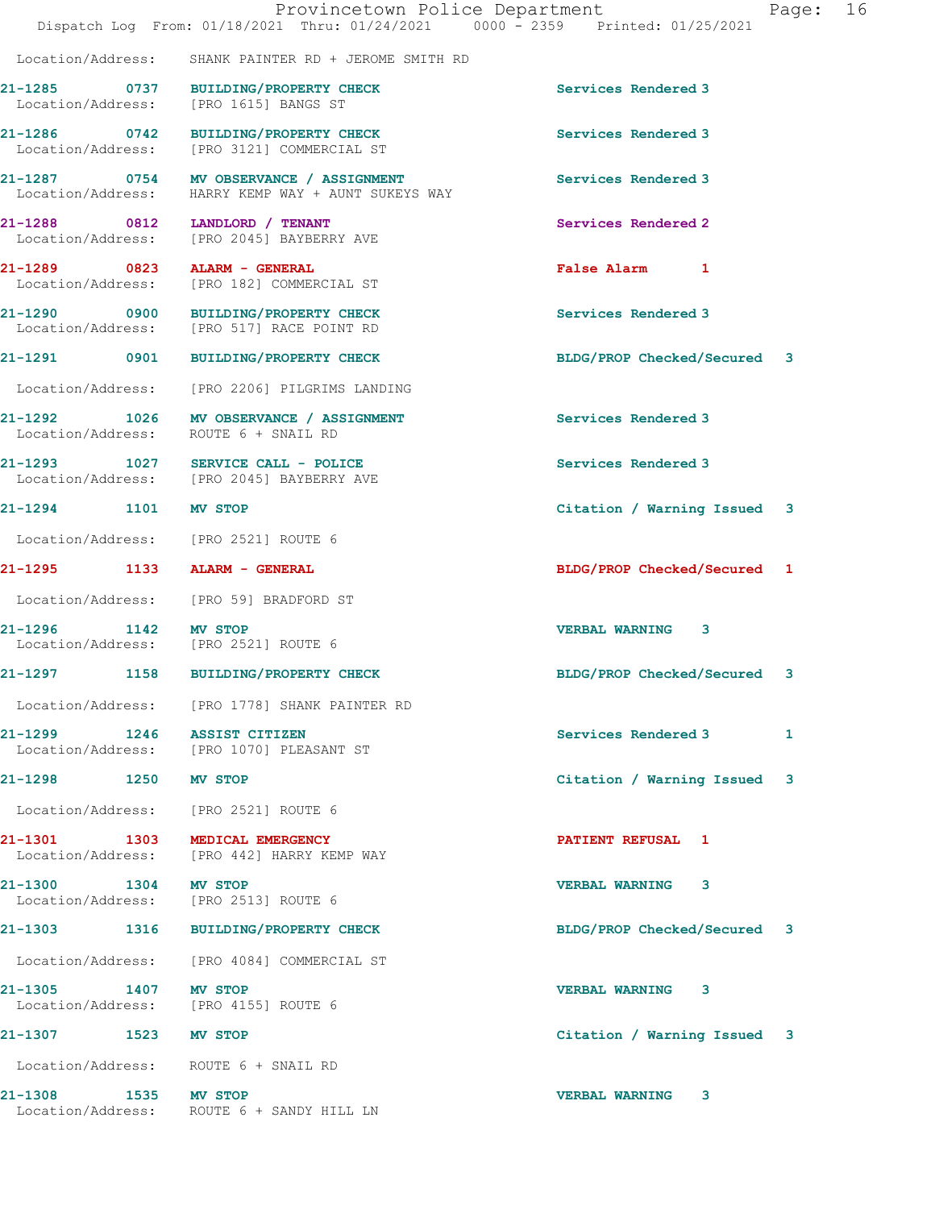|                                | Provincetown Police Department<br>Dispatch Log From: 01/18/2021 Thru: 01/24/2021 0000 - 2359 Printed: 01/25/2021 |                             | Page: | 16 |
|--------------------------------|------------------------------------------------------------------------------------------------------------------|-----------------------------|-------|----|
|                                | Location/Address: SHANK PAINTER RD + JEROME SMITH RD                                                             |                             |       |    |
|                                | 21-1285 0737 BUILDING/PROPERTY CHECK<br>Location/Address: [PRO 1615] BANGS ST                                    | Services Rendered 3         |       |    |
|                                | 21-1286 0742 BUILDING/PROPERTY CHECK<br>Location/Address: [PRO 3121] COMMERCIAL ST                               | Services Rendered 3         |       |    |
| Location/Address:              | 21-1287 0754 MV OBSERVANCE / ASSIGNMENT<br>HARRY KEMP WAY + AUNT SUKEYS WAY                                      | Services Rendered 3         |       |    |
|                                | 21-1288 0812 LANDLORD / TENANT<br>Location/Address: [PRO 2045] BAYBERRY AVE                                      | Services Rendered 2         |       |    |
| 21-1289 0823 ALARM - GENERAL   | Location/Address: [PRO 182] COMMERCIAL ST                                                                        | False Alarm 1               |       |    |
|                                | 21-1290 0900 BUILDING/PROPERTY CHECK<br>Location/Address: [PRO 517] RACE POINT RD                                | Services Rendered 3         |       |    |
|                                | 21-1291 0901 BUILDING/PROPERTY CHECK                                                                             | BLDG/PROP Checked/Secured 3 |       |    |
|                                | Location/Address: [PRO 2206] PILGRIMS LANDING                                                                    |                             |       |    |
|                                | 21-1292 1026 MV OBSERVANCE / ASSIGNMENT<br>Location/Address: ROUTE 6 + SNAIL RD                                  | Services Rendered 3         |       |    |
|                                | 21-1293 1027 SERVICE CALL - POLICE<br>Location/Address: [PRO 2045] BAYBERRY AVE                                  | Services Rendered 3         |       |    |
| 21-1294 1101 MV STOP           |                                                                                                                  | Citation / Warning Issued 3 |       |    |
|                                | Location/Address: [PRO 2521] ROUTE 6                                                                             |                             |       |    |
| 21-1295 1133 ALARM - GENERAL   |                                                                                                                  | BLDG/PROP Checked/Secured 1 |       |    |
|                                | Location/Address: [PRO 59] BRADFORD ST                                                                           |                             |       |    |
| 21-1296 1142 MV STOP           | Location/Address: [PRO 2521] ROUTE 6                                                                             | <b>VERBAL WARNING 3</b>     |       |    |
| 21-1297                        | 1158 BUILDING/PROPERTY CHECK                                                                                     | BLDG/PROP Checked/Secured 3 |       |    |
|                                | Location/Address: [PRO 1778] SHANK PAINTER RD                                                                    |                             |       |    |
| 21-1299 1246 ASSIST CITIZEN    | Location/Address: [PRO 1070] PLEASANT ST                                                                         | Services Rendered 3         | 1     |    |
| 21-1298 1250 MV STOP           |                                                                                                                  | Citation / Warning Issued 3 |       |    |
|                                | Location/Address: [PRO 2521] ROUTE 6                                                                             |                             |       |    |
| 21-1301 1303 MEDICAL EMERGENCY | Location/Address: [PRO 442] HARRY KEMP WAY                                                                       | <b>PATIENT REFUSAL 1</b>    |       |    |
| 21-1300<br>1304 MV STOP        | Location/Address: [PRO 2513] ROUTE 6                                                                             | <b>VERBAL WARNING 3</b>     |       |    |
|                                | 21-1303 1316 BUILDING/PROPERTY CHECK                                                                             | BLDG/PROP Checked/Secured 3 |       |    |
|                                | Location/Address: [PRO 4084] COMMERCIAL ST                                                                       |                             |       |    |
| 21-1305 1407 MV STOP           | Location/Address: [PRO 4155] ROUTE 6                                                                             | VERBAL WARNING 3            |       |    |
| 21-1307 1523 MV STOP           |                                                                                                                  | Citation / Warning Issued 3 |       |    |
|                                | Location/Address: ROUTE 6 + SNAIL RD                                                                             |                             |       |    |
| 21-1308 1535 MV STOP           | Location/Address: ROUTE 6 + SANDY HILL LN                                                                        | <b>VERBAL WARNING</b><br>3  |       |    |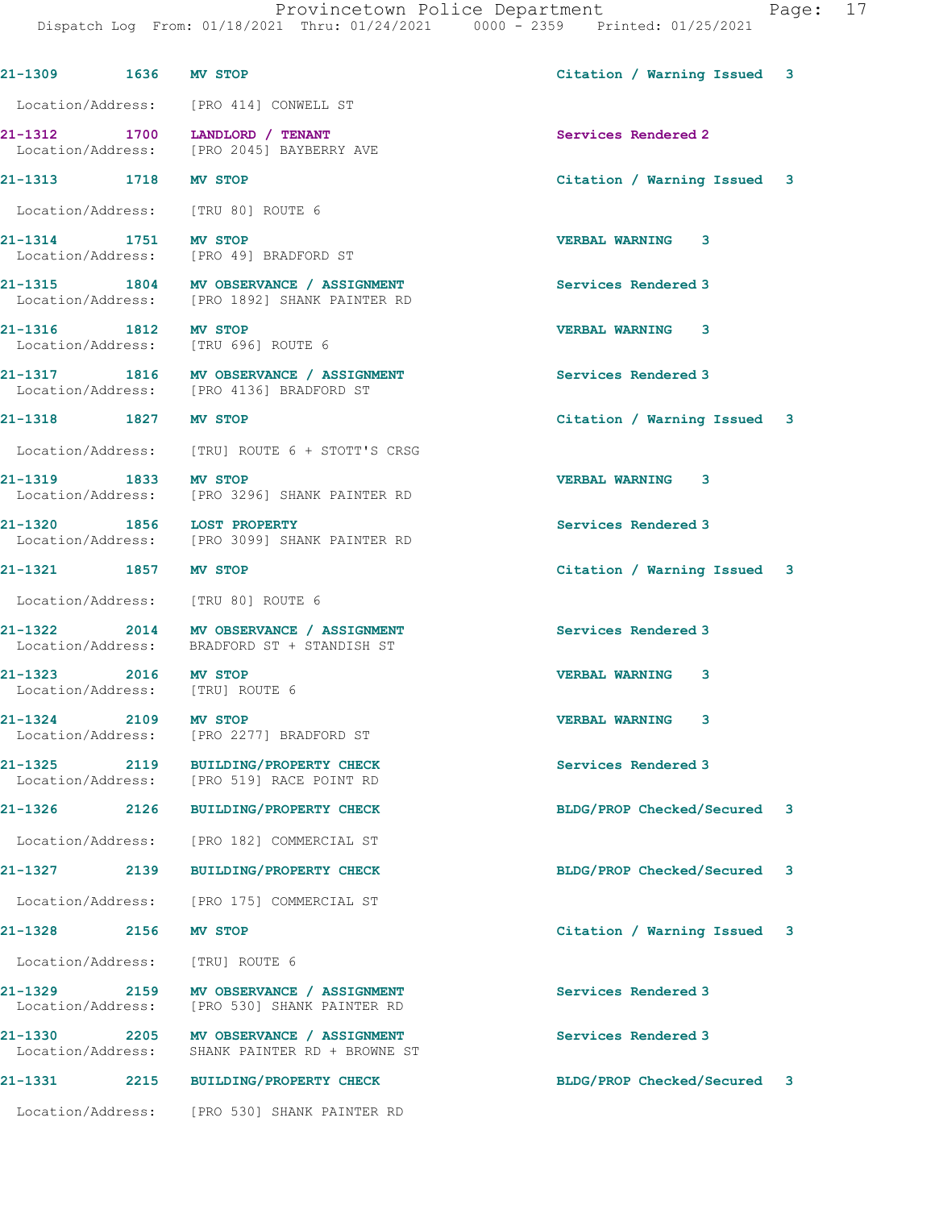| 21-1309 1636 MV STOP                                    |      |                                                                                          | Citation / Warning Issued   | 3 |
|---------------------------------------------------------|------|------------------------------------------------------------------------------------------|-----------------------------|---|
|                                                         |      | Location/Address: [PRO 414] CONWELL ST                                                   |                             |   |
|                                                         |      | 21-1312 1700 LANDLORD / TENANT<br>Location/Address: [PRO 2045] BAYBERRY AVE              | Services Rendered 2         |   |
| 21-1313 1718                                            |      | <b>MV STOP</b>                                                                           | Citation / Warning Issued 3 |   |
|                                                         |      | Location/Address: [TRU 80] ROUTE 6                                                       |                             |   |
| 21-1314 1751 MV STOP                                    |      | Location/Address: [PRO 49] BRADFORD ST                                                   | <b>VERBAL WARNING 3</b>     |   |
|                                                         |      | 21-1315 1804 MV OBSERVANCE / ASSIGNMENT<br>Location/Address: [PRO 1892] SHANK PAINTER RD | Services Rendered 3         |   |
| 21-1316 1812 MV STOP                                    |      | Location/Address: [TRU 696] ROUTE 6                                                      | <b>VERBAL WARNING 3</b>     |   |
|                                                         |      | 21-1317 1816 MV OBSERVANCE / ASSIGNMENT<br>Location/Address: [PRO 4136] BRADFORD ST      | Services Rendered 3         |   |
| 21-1318 1827 MV STOP                                    |      |                                                                                          | Citation / Warning Issued 3 |   |
|                                                         |      | Location/Address: [TRU] ROUTE 6 + STOTT'S CRSG                                           |                             |   |
| 21-1319 1833 MV STOP                                    |      | Location/Address: [PRO 3296] SHANK PAINTER RD                                            | <b>VERBAL WARNING 3</b>     |   |
| 21-1320 1856 LOST PROPERTY                              |      | Location/Address: [PRO 3099] SHANK PAINTER RD                                            | Services Rendered 3         |   |
| 21-1321 1857 MV STOP                                    |      |                                                                                          | Citation / Warning Issued 3 |   |
|                                                         |      | Location/Address: [TRU 80] ROUTE 6                                                       |                             |   |
|                                                         |      | 21-1322 2014 MV OBSERVANCE / ASSIGNMENT<br>Location/Address: BRADFORD ST + STANDISH ST   | Services Rendered 3         |   |
| 21-1323 2016 MV STOP<br>Location/Address: [TRU] ROUTE 6 |      |                                                                                          | <b>VERBAL WARNING</b><br>3  |   |
| 21-1324 2109 MV STOP<br>Location/Address:               |      | [PRO 2277] BRADFORD ST                                                                   | <b>VERBAL WARNING</b><br>3  |   |
| 21-1325<br>Location/Address:                            | 2119 | <b>BUILDING/PROPERTY CHECK</b><br>[PRO 519] RACE POINT RD                                | Services Rendered 3         |   |
| 21-1326                                                 | 2126 | <b>BUILDING/PROPERTY CHECK</b>                                                           | BLDG/PROP Checked/Secured   | 3 |
| Location/Address:                                       |      | [PRO 182] COMMERCIAL ST                                                                  |                             |   |
| 21-1327 2139                                            |      | <b>BUILDING/PROPERTY CHECK</b>                                                           | BLDG/PROP Checked/Secured   | 3 |
| Location/Address:                                       |      | [PRO 175] COMMERCIAL ST                                                                  |                             |   |
| 21-1328                                                 | 2156 | MV STOP                                                                                  | Citation / Warning Issued   | 3 |
| Location/Address:                                       |      | [TRU] ROUTE 6                                                                            |                             |   |
| 21-1329 2159<br>Location/Address:                       |      | MV OBSERVANCE / ASSIGNMENT<br>[PRO 530] SHANK PAINTER RD                                 | Services Rendered 3         |   |
| 21-1330<br>2205<br>Location/Address:                    |      | <b>MV OBSERVANCE / ASSIGNMENT</b><br>SHANK PAINTER RD + BROWNE ST                        | Services Rendered 3         |   |
| 21-1331                                                 | 2215 | <b>BUILDING/PROPERTY CHECK</b>                                                           | BLDG/PROP Checked/Secured 3 |   |
| Location/Address:                                       |      | [PRO 530] SHANK PAINTER RD                                                               |                             |   |